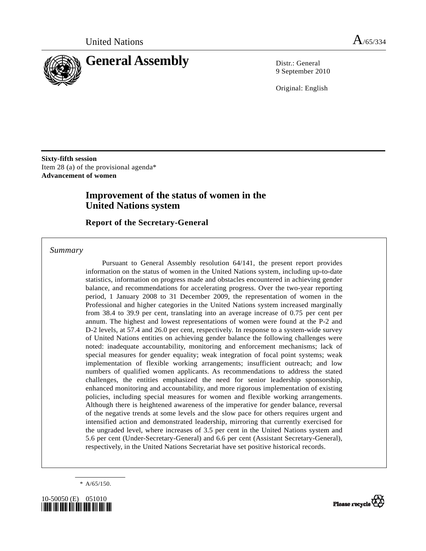

9 September 2010

Original: English

**Sixty-fifth session**  Item 28 (a) of the provisional agenda\* **Advancement of women** 

# **Improvement of the status of women in the United Nations system**

 **Report of the Secretary-General** 

 *Summary* 

 Pursuant to General Assembly resolution 64/141, the present report provides information on the status of women in the United Nations system, including up-to-date statistics, information on progress made and obstacles encountered in achieving gender balance, and recommendations for accelerating progress. Over the two-year reporting period, 1 January 2008 to 31 December 2009, the representation of women in the Professional and higher categories in the United Nations system increased marginally from 38.4 to 39.9 per cent, translating into an average increase of 0.75 per cent per annum. The highest and lowest representations of women were found at the P-2 and D-2 levels, at 57.4 and 26.0 per cent, respectively. In response to a system-wide survey of United Nations entities on achieving gender balance the following challenges were noted: inadequate accountability, monitoring and enforcement mechanisms; lack of special measures for gender equality; weak integration of focal point systems; weak implementation of flexible working arrangements; insufficient outreach; and low numbers of qualified women applicants. As recommendations to address the stated challenges, the entities emphasized the need for senior leadership sponsorship, enhanced monitoring and accountability, and more rigorous implementation of existing policies, including special measures for women and flexible working arrangements. Although there is heightened awareness of the imperative for gender balance, reversal of the negative trends at some levels and the slow pace for others requires urgent and intensified action and demonstrated leadership, mirroring that currently exercised for the ungraded level, where increases of 3.5 per cent in the United Nations system and 5.6 per cent (Under-Secretary-General) and 6.6 per cent (Assistant Secretary-General), respectively, in the United Nations Secretariat have set positive historical records.

 $* A/65/150.$ 



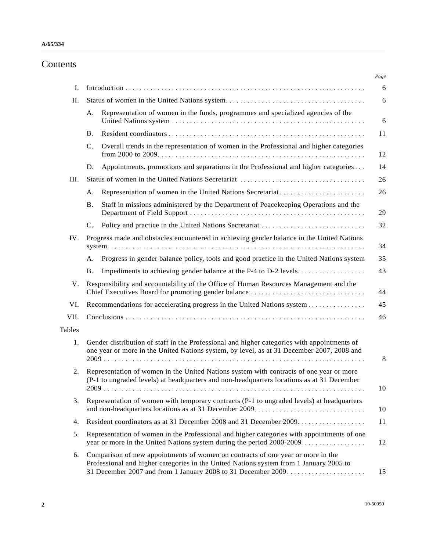# Contents

| L.            |                                                                                                                                                                                                                                           |
|---------------|-------------------------------------------------------------------------------------------------------------------------------------------------------------------------------------------------------------------------------------------|
| II.           |                                                                                                                                                                                                                                           |
|               | Representation of women in the funds, programmes and specialized agencies of the<br>A.                                                                                                                                                    |
|               | В.                                                                                                                                                                                                                                        |
|               | Overall trends in the representation of women in the Professional and higher categories<br>C.                                                                                                                                             |
|               | Appointments, promotions and separations in the Professional and higher categories<br>D.                                                                                                                                                  |
| III.          |                                                                                                                                                                                                                                           |
|               | Representation of women in the United Nations Secretariat<br>A.                                                                                                                                                                           |
|               | Staff in missions administered by the Department of Peacekeeping Operations and the<br><b>B.</b>                                                                                                                                          |
|               | $\mathbf{C}$ .                                                                                                                                                                                                                            |
| IV.           | Progress made and obstacles encountered in achieving gender balance in the United Nations                                                                                                                                                 |
|               | Progress in gender balance policy, tools and good practice in the United Nations system<br>А.                                                                                                                                             |
|               | Impediments to achieving gender balance at the P-4 to D-2 levels<br><b>B.</b>                                                                                                                                                             |
| V.            | Responsibility and accountability of the Office of Human Resources Management and the<br>Chief Executives Board for promoting gender balance                                                                                              |
| VI.           | Recommendations for accelerating progress in the United Nations system                                                                                                                                                                    |
| VII.          |                                                                                                                                                                                                                                           |
| <b>Tables</b> |                                                                                                                                                                                                                                           |
| 1.            | Gender distribution of staff in the Professional and higher categories with appointments of<br>one year or more in the United Nations system, by level, as at 31 December 2007, 2008 and                                                  |
| 2.            | Representation of women in the United Nations system with contracts of one year or more<br>(P-1 to ungraded levels) at headquarters and non-headquarters locations as at 31 December                                                      |
| 3.            | Representation of women with temporary contracts (P-1 to ungraded levels) at headquarters                                                                                                                                                 |
| 4.            |                                                                                                                                                                                                                                           |
| 5.            | Representation of women in the Professional and higher categories with appointments of one<br>year or more in the United Nations system during the period 2000-2009                                                                       |
| 6.            | Comparison of new appointments of women on contracts of one year or more in the<br>Professional and higher categories in the United Nations system from 1 January 2005 to<br>31 December 2007 and from 1 January 2008 to 31 December 2009 |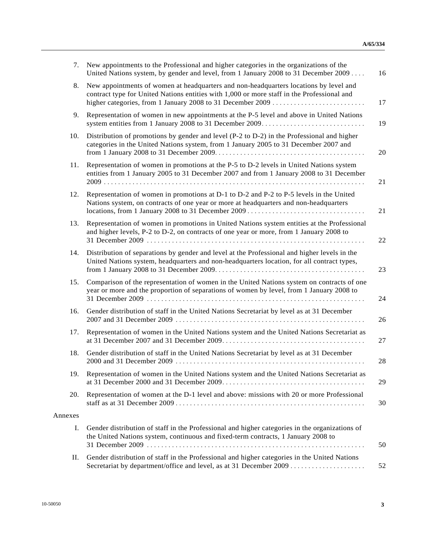| 7.      | New appointments to the Professional and higher categories in the organizations of the<br>United Nations system, by gender and level, from 1 January 2008 to 31 December 2009              |
|---------|--------------------------------------------------------------------------------------------------------------------------------------------------------------------------------------------|
| 8.      | New appointments of women at headquarters and non-headquarters locations by level and<br>contract type for United Nations entities with 1,000 or more staff in the Professional and        |
| 9.      | Representation of women in new appointments at the P-5 level and above in United Nations                                                                                                   |
| 10.     | Distribution of promotions by gender and level (P-2 to D-2) in the Professional and higher<br>categories in the United Nations system, from 1 January 2005 to 31 December 2007 and         |
| 11.     | Representation of women in promotions at the P-5 to D-2 levels in United Nations system<br>entities from 1 January 2005 to 31 December 2007 and from 1 January 2008 to 31 December         |
| 12.     | Representation of women in promotions at D-1 to D-2 and P-2 to P-5 levels in the United<br>Nations system, on contracts of one year or more at headquarters and non-headquarters           |
| 13.     | Representation of women in promotions in United Nations system entities at the Professional<br>and higher levels, P-2 to D-2, on contracts of one year or more, from 1 January 2008 to     |
| 14.     | Distribution of separations by gender and level at the Professional and higher levels in the<br>United Nations system, headquarters and non-headquarters location, for all contract types, |
| 15.     | Comparison of the representation of women in the United Nations system on contracts of one<br>year or more and the proportion of separations of women by level, from 1 January 2008 to     |
| 16.     | Gender distribution of staff in the United Nations Secretariat by level as at 31 December                                                                                                  |
| 17.     | Representation of women in the United Nations system and the United Nations Secretariat as                                                                                                 |
| 18.     | Gender distribution of staff in the United Nations Secretariat by level as at 31 December                                                                                                  |
| 19.     | Representation of women in the United Nations system and the United Nations Secretariat as                                                                                                 |
| 20.     | Representation of women at the D-1 level and above: missions with 20 or more Professional                                                                                                  |
| Annexes |                                                                                                                                                                                            |
| Ι.      | Gender distribution of staff in the Professional and higher categories in the organizations of<br>the United Nations system, continuous and fixed-term contracts, 1 January 2008 to        |
| П.      | Gender distribution of staff in the Professional and higher categories in the United Nations                                                                                               |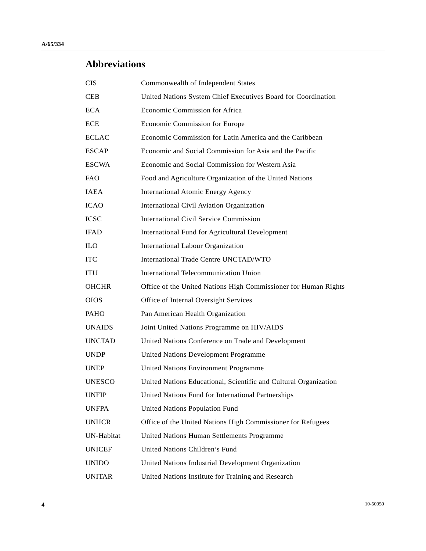# **Abbreviations**

| <b>CIS</b>        | Commonwealth of Independent States                               |
|-------------------|------------------------------------------------------------------|
| <b>CEB</b>        | United Nations System Chief Executives Board for Coordination    |
| <b>ECA</b>        | Economic Commission for Africa                                   |
| <b>ECE</b>        | Economic Commission for Europe                                   |
| <b>ECLAC</b>      | Economic Commission for Latin America and the Caribbean          |
| <b>ESCAP</b>      | Economic and Social Commission for Asia and the Pacific          |
| <b>ESCWA</b>      | Economic and Social Commission for Western Asia                  |
| <b>FAO</b>        | Food and Agriculture Organization of the United Nations          |
| <b>IAEA</b>       | <b>International Atomic Energy Agency</b>                        |
| <b>ICAO</b>       | International Civil Aviation Organization                        |
| <b>ICSC</b>       | <b>International Civil Service Commission</b>                    |
| <b>IFAD</b>       | International Fund for Agricultural Development                  |
| <b>ILO</b>        | <b>International Labour Organization</b>                         |
| <b>ITC</b>        | International Trade Centre UNCTAD/WTO                            |
| <b>ITU</b>        | International Telecommunication Union                            |
| <b>OHCHR</b>      | Office of the United Nations High Commissioner for Human Rights  |
| <b>OIOS</b>       | Office of Internal Oversight Services                            |
| PAHO              | Pan American Health Organization                                 |
| <b>UNAIDS</b>     | Joint United Nations Programme on HIV/AIDS                       |
| <b>UNCTAD</b>     | United Nations Conference on Trade and Development               |
| <b>UNDP</b>       | United Nations Development Programme                             |
| <b>UNEP</b>       | <b>United Nations Environment Programme</b>                      |
| <b>UNESCO</b>     | United Nations Educational, Scientific and Cultural Organization |
| <b>UNFIP</b>      | United Nations Fund for International Partnerships               |
| <b>UNFPA</b>      | United Nations Population Fund                                   |
| <b>UNHCR</b>      | Office of the United Nations High Commissioner for Refugees      |
| <b>UN-Habitat</b> | United Nations Human Settlements Programme                       |
| <b>UNICEF</b>     | United Nations Children's Fund                                   |
| <b>UNIDO</b>      | United Nations Industrial Development Organization               |
| <b>UNITAR</b>     | United Nations Institute for Training and Research               |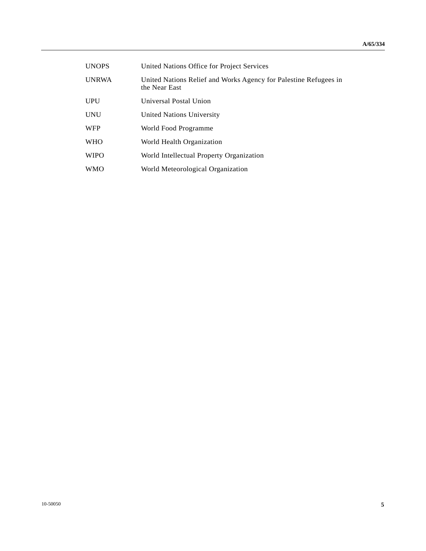| <b>UNOPS</b> | United Nations Office for Project Services                                        |
|--------------|-----------------------------------------------------------------------------------|
| <b>UNRWA</b> | United Nations Relief and Works Agency for Palestine Refugees in<br>the Near East |
| <b>UPU</b>   | Universal Postal Union                                                            |
| <b>UNU</b>   | United Nations University                                                         |
| <b>WFP</b>   | World Food Programme                                                              |
| <b>WHO</b>   | World Health Organization                                                         |
| <b>WIPO</b>  | World Intellectual Property Organization                                          |
| <b>WMO</b>   | World Meteorological Organization                                                 |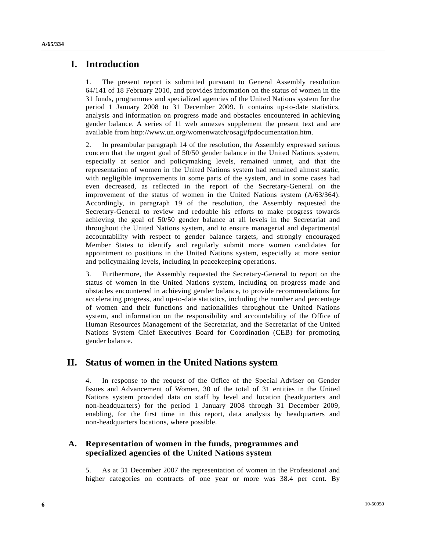## **I. Introduction**

1. The present report is submitted pursuant to General Assembly resolution 64/141 of 18 February 2010, and provides information on the status of women in the 31 funds, programmes and specialized agencies of the United Nations system for the period 1 January 2008 to 31 December 2009. It contains up-to-date statistics, analysis and information on progress made and obstacles encountered in achieving gender balance. A series of 11 web annexes supplement the present text and are available from http://www.un.org/womenwatch/osagi/fpdocumentation.htm.

2. In preambular paragraph 14 of the resolution, the Assembly expressed serious concern that the urgent goal of 50/50 gender balance in the United Nations system, especially at senior and policymaking levels, remained unmet, and that the representation of women in the United Nations system had remained almost static, with negligible improvements in some parts of the system, and in some cases had even decreased, as reflected in the report of the Secretary-General on the improvement of the status of women in the United Nations system (A/63/364). Accordingly, in paragraph 19 of the resolution, the Assembly requested the Secretary-General to review and redouble his efforts to make progress towards achieving the goal of 50/50 gender balance at all levels in the Secretariat and throughout the United Nations system, and to ensure managerial and departmental accountability with respect to gender balance targets, and strongly encouraged Member States to identify and regularly submit more women candidates for appointment to positions in the United Nations system, especially at more senior and policymaking levels, including in peacekeeping operations.

3. Furthermore, the Assembly requested the Secretary-General to report on the status of women in the United Nations system, including on progress made and obstacles encountered in achieving gender balance, to provide recommendations for accelerating progress, and up-to-date statistics, including the number and percentage of women and their functions and nationalities throughout the United Nations system, and information on the responsibility and accountability of the Office of Human Resources Management of the Secretariat, and the Secretariat of the United Nations System Chief Executives Board for Coordination (CEB) for promoting gender balance.

# **II. Status of women in the United Nations system**

4. In response to the request of the Office of the Special Adviser on Gender Issues and Advancement of Women, 30 of the total of 31 entities in the United Nations system provided data on staff by level and location (headquarters and non-headquarters) for the period 1 January 2008 through 31 December 2009, enabling, for the first time in this report, data analysis by headquarters and non-headquarters locations, where possible.

## **A. Representation of women in the funds, programmes and specialized agencies of the United Nations system**

5. As at 31 December 2007 the representation of women in the Professional and higher categories on contracts of one year or more was 38.4 per cent. By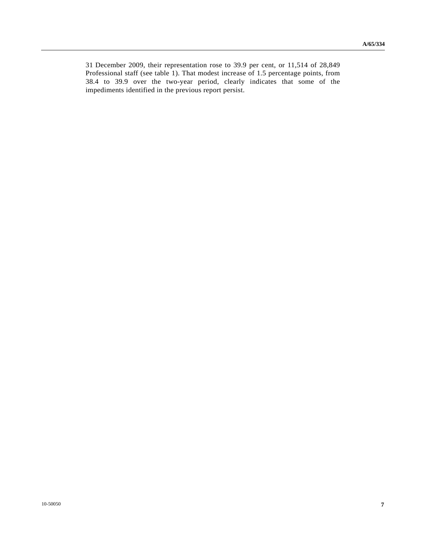31 December 2009, their representation rose to 39.9 per cent, or 11,514 of 28,849 Professional staff (see table 1). That modest increase of 1.5 percentage points, from 38.4 to 39.9 over the two-year period, clearly indicates that some of the impediments identified in the previous report persist.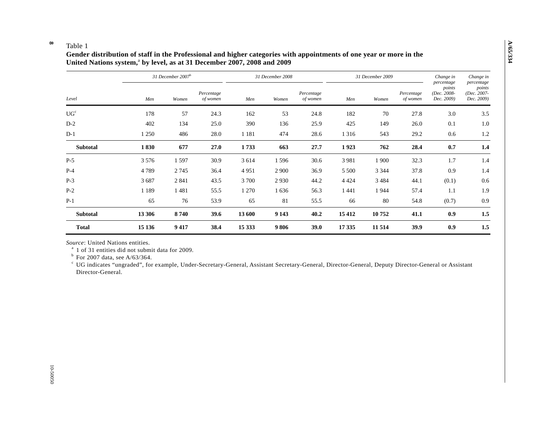#### **8**  Table 1

## **Gender distribution of staff in the Professional and higher categories with appointments of one year or more in the**  United Nations system,<sup>a</sup> by level, as at 31 December 2007, 2008 and 2009

| Level           |         | 31 December $2007b$ |                        |         | 31 December 2008 |                        |         | 31 December 2009 | Change in<br>percentage | Change in<br>percentage             |                                     |
|-----------------|---------|---------------------|------------------------|---------|------------------|------------------------|---------|------------------|-------------------------|-------------------------------------|-------------------------------------|
|                 | Men     | Women               | Percentage<br>of women | Men     | Women            | Percentage<br>of women | Men     | Women            | Percentage<br>of women  | points<br>(Dec. 2008-<br>Dec. 2009) | points<br>(Dec. 2007-<br>Dec. 2009) |
| UG <sup>c</sup> | 178     | 57                  | 24.3                   | 162     | 53               | 24.8                   | 182     | 70               | 27.8                    | 3.0                                 | 3.5                                 |
| $D-2$           | 402     | 134                 | 25.0                   | 390     | 136              | 25.9                   | 425     | 149              | 26.0                    | 0.1                                 | 1.0                                 |
| $D-1$           | 1 250   | 486                 | 28.0                   | 1 1 8 1 | 474              | 28.6                   | 1 3 1 6 | 543              | 29.2                    | 0.6                                 | 1.2                                 |
| <b>Subtotal</b> | 1830    | 677                 | 27.0                   | 1733    | 663              | 27.7                   | 1923    | 762              | 28.4                    | 0.7                                 | 1.4                                 |
| $P-5$           | 3 5 7 6 | 1597                | 30.9                   | 3 6 1 4 | 1596             | 30.6                   | 3981    | 1 900            | 32.3                    | 1.7                                 | 1.4                                 |
| $P-4$           | 4789    | 2745                | 36.4                   | 4951    | 2 9 0 0          | 36.9                   | 5 5 0 0 | 3 3 4 4          | 37.8                    | 0.9                                 | 1.4                                 |
| $P-3$           | 3687    | 2 8 4 1             | 43.5                   | 3 700   | 2930             | 44.2                   | 4 4 2 4 | 3 4 8 4          | 44.1                    | (0.1)                               | 0.6                                 |
| $P-2$           | 1 1 8 9 | 1481                | 55.5                   | 1 2 7 0 | 1636             | 56.3                   | 1441    | 1944             | 57.4                    | 1.1                                 | 1.9                                 |
| $P-1$           | 65      | 76                  | 53.9                   | 65      | 81               | 55.5                   | 66      | 80               | 54.8                    | (0.7)                               | 0.9                                 |
| Subtotal        | 13 30 6 | 8740                | 39.6                   | 13 600  | 9 1 43           | 40.2                   | 15 4 12 | 10752            | 41.1                    | 0.9                                 | 1.5                                 |
| <b>Total</b>    | 15 136  | 9417                | 38.4                   | 15 3 33 | 9806             | 39.0                   | 17 3 35 | 11 5 14          | 39.9                    | 0.9                                 | 1.5                                 |

*Source*: United Nations entities.

<sup>a</sup> 1 of 31 entities did not submit data for 2009.

 $b$  For 2007 data, see A/63/364.

c UG indicates "ungraded", for example, Under-Secretary-General, Assistant Secretary-General, Director-General, Deputy Director-General or Assistant Director-General.

**A/65/334**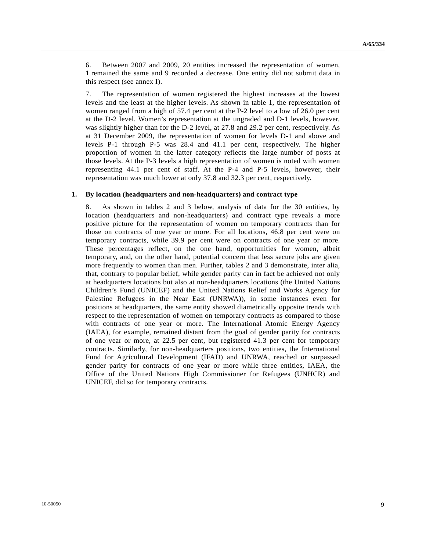6. Between 2007 and 2009, 20 entities increased the representation of women, 1 remained the same and 9 recorded a decrease. One entity did not submit data in this respect (see annex I).

7. The representation of women registered the highest increases at the lowest levels and the least at the higher levels. As shown in table 1, the representation of women ranged from a high of 57.4 per cent at the P-2 level to a low of 26.0 per cent at the D-2 level. Women's representation at the ungraded and D-1 levels, however, was slightly higher than for the D-2 level, at 27.8 and 29.2 per cent, respectively. As at 31 December 2009, the representation of women for levels D-1 and above and levels P-1 through P-5 was 28.4 and 41.1 per cent, respectively. The higher proportion of women in the latter category reflects the large number of posts at those levels. At the P-3 levels a high representation of women is noted with women representing 44.1 per cent of staff. At the P-4 and P-5 levels, however, their representation was much lower at only 37.8 and 32.3 per cent, respectively.

#### **1. By location (headquarters and non-headquarters) and contract type**

8. As shown in tables 2 and 3 below, analysis of data for the 30 entities, by location (headquarters and non-headquarters) and contract type reveals a more positive picture for the representation of women on temporary contracts than for those on contracts of one year or more. For all locations, 46.8 per cent were on temporary contracts, while 39.9 per cent were on contracts of one year or more. These percentages reflect, on the one hand, opportunities for women, albeit temporary, and, on the other hand, potential concern that less secure jobs are given more frequently to women than men. Further, tables 2 and 3 demonstrate, inter alia, that, contrary to popular belief, while gender parity can in fact be achieved not only at headquarters locations but also at non-headquarters locations (the United Nations Children's Fund (UNICEF) and the United Nations Relief and Works Agency for Palestine Refugees in the Near East (UNRWA)), in some instances even for positions at headquarters, the same entity showed diametrically opposite trends with respect to the representation of women on temporary contracts as compared to those with contracts of one year or more. The International Atomic Energy Agency (IAEA), for example, remained distant from the goal of gender parity for contracts of one year or more, at 22.5 per cent, but registered 41.3 per cent for temporary contracts. Similarly, for non-headquarters positions, two entities, the International Fund for Agricultural Development (IFAD) and UNRWA, reached or surpassed gender parity for contracts of one year or more while three entities, IAEA, the Office of the United Nations High Commissioner for Refugees (UNHCR) and UNICEF, did so for temporary contracts.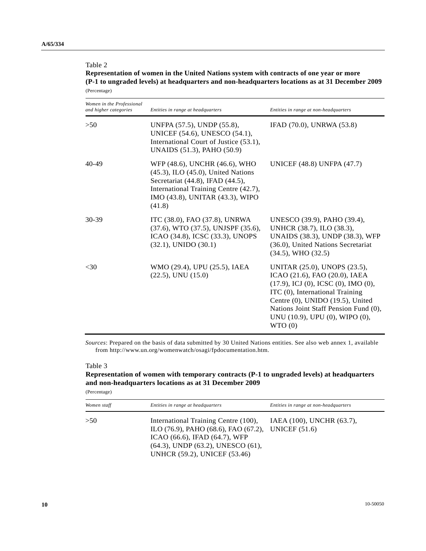## Table 2

**Representation of women in the United Nations system with contracts of one year or more (P-1 to ungraded levels) at headquarters and non-headquarters locations as at 31 December 2009**  (Percentage)

| Women in the Professional<br>and higher categories | Entities in range at headquarters                                                                                                                                                                   | Entities in range at non-headquarters                                                                                                                                                                                                                                        |
|----------------------------------------------------|-----------------------------------------------------------------------------------------------------------------------------------------------------------------------------------------------------|------------------------------------------------------------------------------------------------------------------------------------------------------------------------------------------------------------------------------------------------------------------------------|
| >50                                                | UNFPA (57.5), UNDP (55.8),<br>UNICEF (54.6), UNESCO (54.1),<br>International Court of Justice (53.1),<br>UNAIDS (51.3), PAHO (50.9)                                                                 | IFAD (70.0), UNRWA (53.8)                                                                                                                                                                                                                                                    |
| $40-49$                                            | WFP (48.6), UNCHR (46.6), WHO<br>$(45.3)$ , ILO $(45.0)$ , United Nations<br>Secretariat (44.8), IFAD (44.5),<br>International Training Centre (42.7),<br>IMO (43.8), UNITAR (43.3), WIPO<br>(41.8) | UNICEF (48.8) UNFPA (47.7)                                                                                                                                                                                                                                                   |
| $30-39$                                            | ITC (38.0), FAO (37.8), UNRWA<br>(37.6), WTO (37.5), UNJSPF (35.6),<br>ICAO (34.8), ICSC (33.3), UNOPS<br>$(32.1)$ , UNIDO $(30.1)$                                                                 | UNESCO (39.9), PAHO (39.4),<br>UNHCR (38.7), ILO (38.3),<br>UNAIDS (38.3), UNDP (38.3), WFP<br>(36.0), United Nations Secretariat<br>$(34.5)$ , WHO $(32.5)$                                                                                                                 |
| $<$ 30                                             | WMO (29.4), UPU (25.5), IAEA<br>$(22.5)$ , UNU $(15.0)$                                                                                                                                             | UNITAR (25.0), UNOPS (23.5),<br>ICAO (21.6), FAO (20.0), IAEA<br>$(17.9)$ , ICJ $(0)$ , ICSC $(0)$ , IMO $(0)$ ,<br>ITC (0), International Training<br>Centre (0), UNIDO (19.5), United<br>Nations Joint Staff Pension Fund (0),<br>UNU (10.9), UPU (0), WIPO (0),<br>WTO(0) |

*Sources*: Prepared on the basis of data submitted by 30 United Nations entities. See also web annex 1, available from http://www.un.org/womenwatch/osagi/fpdocumentation.htm.

#### Table 3

## **Representation of women with temporary contracts (P-1 to ungraded levels) at headquarters and non-headquarters locations as at 31 December 2009**

(Percentage)

| Women staff | Entities in range at headquarters                                                                                                                                                                                    | Entities in range at non-headquarters |
|-------------|----------------------------------------------------------------------------------------------------------------------------------------------------------------------------------------------------------------------|---------------------------------------|
| >50         | International Training Centre (100),<br>ILO $(76.9)$ , PAHO $(68.6)$ , FAO $(67.2)$ , UNICEF $(51.6)$<br>ICAO (66.6), IFAD (64.7), WFP<br>$(64.3)$ , UNDP $(63.2)$ , UNESCO $(61)$ ,<br>UNHCR (59.2), UNICEF (53.46) | IAEA (100), UNCHR (63.7),             |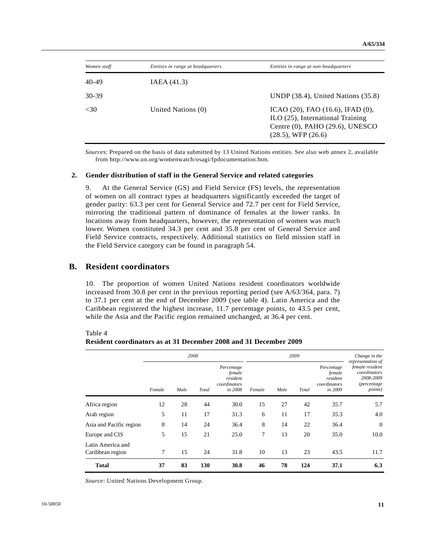| Women staff | Entities in range at headquarters | Entities in range at non-headquarters                                                                                              |
|-------------|-----------------------------------|------------------------------------------------------------------------------------------------------------------------------------|
| 40-49       | IAEA(41.3)                        |                                                                                                                                    |
| 30-39       |                                   | UNDP $(38.4)$ , United Nations $(35.8)$                                                                                            |
| <30         | United Nations (0)                | ICAO (20), FAO (16.6), IFAD (0),<br>ILO (25), International Training<br>Centre (0), PAHO (29.6), UNESCO<br>$(28.5)$ , WFP $(26.6)$ |

*Sources*: Prepared on the basis of data submitted by 13 United Nations entities. See also web annex 2, available from http://www.un.org/womenwatch/osagi/fpdocumentation.htm.

#### **2. Gender distribution of staff in the General Service and related categories**

9. At the General Service (GS) and Field Service (FS) levels, the representation of women on all contract types at headquarters significantly exceeded the target of gender parity: 63.3 per cent for General Service and 72.7 per cent for Field Service, mirroring the traditional pattern of dominance of females at the lower ranks. In locations away from headquarters, however, the representation of women was much lower. Women constituted 34.3 per cent and 35.8 per cent of General Service and Field Service contracts, respectively. Additional statistics on field mission staff in the Field Service category can be found in paragraph 54.

### **B. Resident coordinators**

10. The proportion of women United Nations resident coordinators worldwide increased from 30.8 per cent in the previous reporting period (see A/63/364, para. 7) to 37.1 per cent at the end of December 2009 (see table 4). Latin America and the Caribbean registered the highest increase, 11.7 percentage points, to 43.5 per cent, while the Asia and the Pacific region remained unchanged, at 36.4 per cent.

|                                       |        |      | 2008  |                                                             | 2009   |      |       |                                                             | Change in the                                                                                               |
|---------------------------------------|--------|------|-------|-------------------------------------------------------------|--------|------|-------|-------------------------------------------------------------|-------------------------------------------------------------------------------------------------------------|
|                                       | Female | Male | Total | Percentage<br>female<br>resident<br>coordinators<br>in 2008 | Female | Male | Total | Percentage<br>female<br>resident<br>coordinators<br>in 2009 | representation of<br>female resident<br>coordinators<br>2008-2009<br><i>(percentage)</i><br><i>points</i> ) |
| Africa region                         | 12     | 28   | 44    | 30.0                                                        | 15     | 27   | 42    | 35.7                                                        | 5.7                                                                                                         |
| Arab region                           | 5      | 11   | 17    | 31.3                                                        | 6      | 11   | 17    | 35.3                                                        | 4.0                                                                                                         |
| Asia and Pacific region               | 8      | 14   | 24    | 36.4                                                        | 8      | 14   | 22    | 36.4                                                        | $\theta$                                                                                                    |
| Europe and CIS                        | 5      | 15   | 21    | 25.0                                                        | 7      | 13   | 20    | 35.0                                                        | 10.0                                                                                                        |
| Latin America and<br>Caribbean region | 7      | 15   | 24    | 31.8                                                        | 10     | 13   | 23    | 43.5                                                        | 11.7                                                                                                        |
| <b>Total</b>                          | 37     | 83   | 130   | 30.8                                                        | 46     | 78   | 124   | 37.1                                                        | 6.3                                                                                                         |

Table 4 **Resident coordinators as at 31 December 2008 and 31 December 2009** 

*Source*: United Nations Development Group.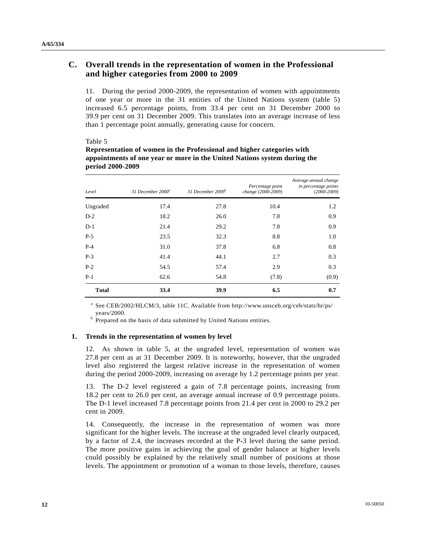## **C. Overall trends in the representation of women in the Professional and higher categories from 2000 to 2009**

11. During the period 2000-2009, the representation of women with appointments of one year or more in the 31 entities of the United Nations system (table 5) increased 6.5 percentage points, from 33.4 per cent on 31 December 2000 to 39.9 per cent on 31 December 2009. This translates into an average increase of less than 1 percentage point annually, generating cause for concern.

#### Table 5

| Level        | 31 December 2000 <sup>a</sup> | 31 December 2009 <sup>b</sup> | Percentage point<br>change (2000-2009) | Average annual change<br>in percentage points<br>$(2000-2009)$ |
|--------------|-------------------------------|-------------------------------|----------------------------------------|----------------------------------------------------------------|
| Ungraded     | 17.4                          | 27.8                          | 10.4                                   | 1.2                                                            |
| $D-2$        | 18.2                          | 26.0                          | 7.8                                    | 0.9                                                            |
| $D-1$        | 21.4                          | 29.2                          | 7.8                                    | 0.9                                                            |
| $P-5$        | 23.5                          | 32.3                          | 8.8                                    | 1.0                                                            |
| $P-4$        | 31.0                          | 37.8                          | 6.8                                    | 0.8                                                            |
| $P-3$        | 41.4                          | 44.1                          | 2.7                                    | 0.3                                                            |
| $P-2$        | 54.5                          | 57.4                          | 2.9                                    | 0.3                                                            |
| $P-1$        | 62.6                          | 54.8                          | (7.8)                                  | (0.9)                                                          |
| <b>Total</b> | 33.4                          | 39.9                          | 6.5                                    | 0.7                                                            |

**Representation of women in the Professional and higher categories with appointments of one year or more in the United Nations system during the period 2000-2009** 

<sup>a</sup> See CEB/2002/HLCM/3, table 11C. Available from http://www.unsceb.org/ceb/stats/hr/ps/

years/2000.<br><sup>b</sup> Prepared on the basis of data submitted by United Nations entities.

#### **1. Trends in the representation of women by level**

12. As shown in table 5, at the ungraded level, representation of women was 27.8 per cent as at 31 December 2009. It is noteworthy, however, that the ungraded level also registered the largest relative increase in the representation of women during the period 2000-2009, increasing on average by 1.2 percentage points per year.

13. The D-2 level registered a gain of 7.8 percentage points, increasing from 18.2 per cent to 26.0 per cent, an average annual increase of 0.9 percentage points. The D-1 level increased 7.8 percentage points from 21.4 per cent in 2000 to 29.2 per cent in 2009.

14. Consequently, the increase in the representation of women was more significant for the higher levels. The increase at the ungraded level clearly outpaced, by a factor of 2.4, the increases recorded at the P-3 level during the same period. The more positive gains in achieving the goal of gender balance at higher levels could possibly be explained by the relatively small number of positions at those levels. The appointment or promotion of a woman to those levels, therefore, causes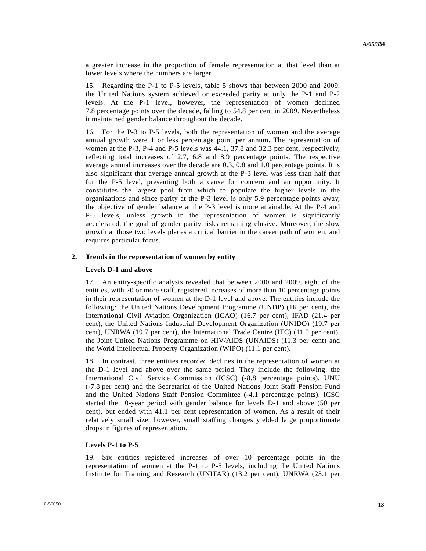a greater increase in the proportion of female representation at that level than at lower levels where the numbers are larger.

15. Regarding the P-1 to P-5 levels, table 5 shows that between 2000 and 2009, the United Nations system achieved or exceeded parity at only the P-1 and P-2 levels. At the P-1 level, however, the representation of women declined 7.8 percentage points over the decade, falling to 54.8 per cent in 2009. Nevertheless it maintained gender balance throughout the decade.

16. For the P-3 to P-5 levels, both the representation of women and the average annual growth were 1 or less percentage point per annum. The representation of women at the P-3, P-4 and P-5 levels was 44.1, 37.8 and 32.3 per cent, respectively, reflecting total increases of 2.7, 6.8 and 8.9 percentage points. The respective average annual increases over the decade are 0.3, 0.8 and 1.0 percentage points. It is also significant that average annual growth at the P-3 level was less than half that for the P-5 level, presenting both a cause for concern and an opportunity. It constitutes the largest pool from which to populate the higher levels in the organizations and since parity at the P-3 level is only 5.9 percentage points away, the objective of gender balance at the P-3 level is more attainable. At the P-4 and P-5 levels, unless growth in the representation of women is significantly accelerated, the goal of gender parity risks remaining elusive. Moreover, the slow growth at those two levels places a critical barrier in the career path of women, and requires particular focus.

#### **2. Trends in the representation of women by entity**

#### **Levels D-1 and above**

17. An entity-specific analysis revealed that between 2000 and 2009, eight of the entities, with 20 or more staff, registered increases of more than 10 percentage points in their representation of women at the D-1 level and above. The entities include the following: the United Nations Development Programme (UNDP) (16 per cent), the International Civil Aviation Organization (ICAO) (16.7 per cent), IFAD (21.4 per cent), the United Nations Industrial Development Organization (UNIDO) (19.7 per cent), UNRWA (19.7 per cent), the International Trade Centre (ITC) (11.0 per cent), the Joint United Nations Programme on HIV/AIDS (UNAIDS) (11.3 per cent) and the World Intellectual Property Organization (WIPO) (11.1 per cent).

18. In contrast, three entities recorded declines in the representation of women at the D-1 level and above over the same period. They include the following: the International Civil Service Commission (ICSC) (-8.8 percentage points), UNU (-7.8 per cent) and the Secretariat of the United Nations Joint Staff Pension Fund and the United Nations Staff Pension Committee (-4.1 percentage points). ICSC started the 10-year period with gender balance for levels D-1 and above (50 per cent), but ended with 41.1 per cent representation of women. As a result of their relatively small size, however, small staffing changes yielded large proportionate drops in figures of representation.

#### **Levels P-1 to P-5**

19. Six entities registered increases of over 10 percentage points in the representation of women at the P-1 to P-5 levels, including the United Nations Institute for Training and Research (UNITAR) (13.2 per cent), UNRWA (23.1 per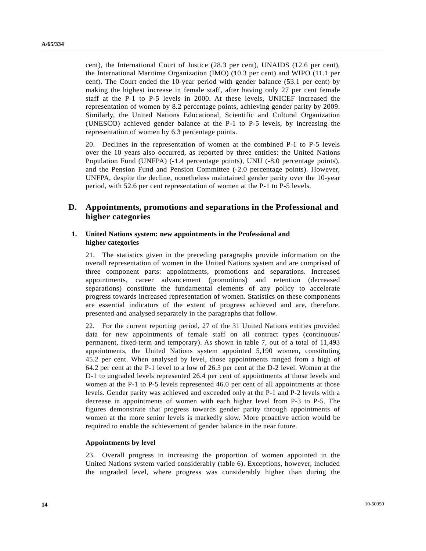cent), the International Court of Justice (28.3 per cent), UNAIDS (12.6 per cent), the International Maritime Organization (IMO) (10.3 per cent) and WIPO (11.1 per cent). The Court ended the 10-year period with gender balance (53.1 per cent) by making the highest increase in female staff, after having only 27 per cent female staff at the P-1 to P-5 levels in 2000. At these levels, UNICEF increased the representation of women by 8.2 percentage points, achieving gender parity by 2009. Similarly, the United Nations Educational, Scientific and Cultural Organization (UNESCO) achieved gender balance at the P-1 to P-5 levels, by increasing the representation of women by 6.3 percentage points.

20. Declines in the representation of women at the combined P-1 to P-5 levels over the 10 years also occurred, as reported by three entities: the United Nations Population Fund (UNFPA) (-1.4 percentage points), UNU (-8.0 percentage points), and the Pension Fund and Pension Committee (-2.0 percentage points). However, UNFPA, despite the decline, nonetheless maintained gender parity over the 10-year period, with 52.6 per cent representation of women at the P-1 to P-5 levels.

## **D. Appointments, promotions and separations in the Professional and higher categories**

#### **1. United Nations system: new appointments in the Professional and higher categories**

21. The statistics given in the preceding paragraphs provide information on the overall representation of women in the United Nations system and are comprised of three component parts: appointments, promotions and separations. Increased appointments, career advancement (promotions) and retention (decreased separations) constitute the fundamental elements of any policy to accelerate progress towards increased representation of women. Statistics on these components are essential indicators of the extent of progress achieved and are, therefore, presented and analysed separately in the paragraphs that follow.

22. For the current reporting period, 27 of the 31 United Nations entities provided data for new appointments of female staff on all contract types (continuous/ permanent, fixed-term and temporary). As shown in table 7, out of a total of 11,493 appointments, the United Nations system appointed 5,190 women, constituting 45.2 per cent. When analysed by level, those appointments ranged from a high of 64.2 per cent at the P-1 level to a low of 26.3 per cent at the D-2 level. Women at the D-1 to ungraded levels represented 26.4 per cent of appointments at those levels and women at the P-1 to P-5 levels represented 46.0 per cent of all appointments at those levels. Gender parity was achieved and exceeded only at the P-1 and P-2 levels with a decrease in appointments of women with each higher level from P-3 to P-5. The figures demonstrate that progress towards gender parity through appointments of women at the more senior levels is markedly slow. More proactive action would be required to enable the achievement of gender balance in the near future.

#### **Appointments by level**

23. Overall progress in increasing the proportion of women appointed in the United Nations system varied considerably (table 6). Exceptions, however, included the ungraded level, where progress was considerably higher than during the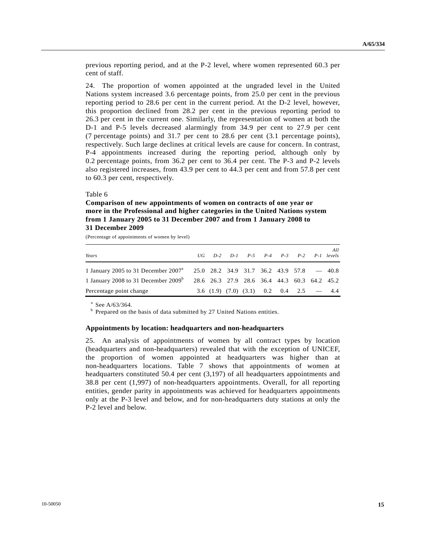previous reporting period, and at the P-2 level, where women represented 60.3 per cent of staff.

24. The proportion of women appointed at the ungraded level in the United Nations system increased 3.6 percentage points, from 25.0 per cent in the previous reporting period to 28.6 per cent in the current period. At the D-2 level, however, this proportion declined from 28.2 per cent in the previous reporting period to 26.3 per cent in the current one. Similarly, the representation of women at both the D-1 and P-5 levels decreased alarmingly from 34.9 per cent to 27.9 per cent (7 percentage points) and 31.7 per cent to 28.6 per cent (3.1 percentage points), respectively. Such large declines at critical levels are cause for concern. In contrast, P-4 appointments increased during the reporting period, although only by 0.2 percentage points, from 36.2 per cent to 36.4 per cent. The P-3 and P-2 levels also registered increases, from 43.9 per cent to 44.3 per cent and from 57.8 per cent to 60.3 per cent, respectively.

#### Table 6

## **Comparison of new appointments of women on contracts of one year or more in the Professional and higher categories in the United Nations system from 1 January 2005 to 31 December 2007 and from 1 January 2008 to 31 December 2009**

(Percentage of appointments of women by level)

| Years                                                                                      |  | $UG$ $D-2$ $D-1$ $P-5$ $P-4$ $P-3$ $P-2$ $P-1$ levels |  |  | All |
|--------------------------------------------------------------------------------------------|--|-------------------------------------------------------|--|--|-----|
| 1 January 2005 to 31 December 2007 <sup>4</sup> 25.0 28.2 34.9 31.7 36.2 43.9 57.8 $-40.8$ |  |                                                       |  |  |     |
| 1 January 2008 to 31 December 2009 <sup>b</sup>                                            |  | 28.6 26.3 27.9 28.6 36.4 44.3 60.3 64.2 45.2          |  |  |     |
| Percentage point change                                                                    |  | $3.6$ (1.9) (7.0) (3.1) 0.2 0.4 2.5 - 4.4             |  |  |     |

 $^{\circ}$  See A/63/364.

<sup>b</sup> Prepared on the basis of data submitted by 27 United Nations entities.

#### **Appointments by location: headquarters and non-headquarters**

25. An analysis of appointments of women by all contract types by location (headquarters and non-headquarters) revealed that with the exception of UNICEF, the proportion of women appointed at headquarters was higher than at non-headquarters locations. Table 7 shows that appointments of women at headquarters constituted 50.4 per cent (3,197) of all headquarters appointments and 38.8 per cent (1,997) of non-headquarters appointments. Overall, for all reporting entities, gender parity in appointments was achieved for headquarters appointments only at the P-3 level and below, and for non-headquarters duty stations at only the P-2 level and below.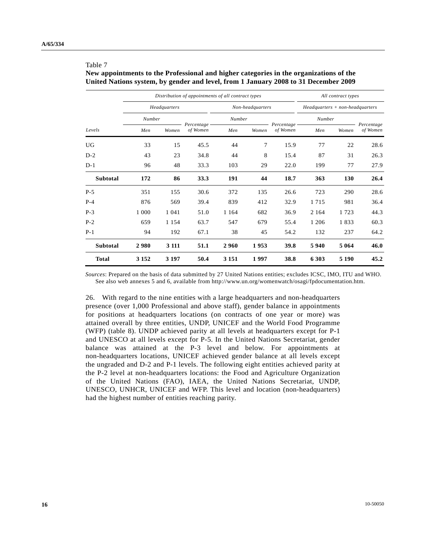#### Table 7

**New appointments to the Professional and higher categories in the organizations of the United Nations system, by gender and level, from 1 January 2008 to 31 December 2009** 

|                 |         |              | Distribution of appointments of all contract types | All contract types |                  |                          |                                     |         |                        |  |
|-----------------|---------|--------------|----------------------------------------------------|--------------------|------------------|--------------------------|-------------------------------------|---------|------------------------|--|
|                 |         | Headquarters |                                                    |                    | Non-headquarters |                          | $Head quarters + non-head quarters$ |         |                        |  |
|                 | Number  |              |                                                    | Number             |                  |                          | Number                              |         |                        |  |
| Levels          | Men     | Women        | Percentage -<br>of Women                           | Men                | Women            | Percentage –<br>of Women | Men                                 | Women   | Percentage<br>of Women |  |
| UG              | 33      | 15           | 45.5                                               | 44                 | 7                | 15.9                     | 77                                  | 22      | 28.6                   |  |
| $D-2$           | 43      | 23           | 34.8                                               | 44                 | 8                | 15.4                     | 87                                  | 31      | 26.3                   |  |
| $D-1$           | 96      | 48           | 33.3                                               | 103                | 29               | 22.0                     | 199                                 | 77      | 27.9                   |  |
| <b>Subtotal</b> | 172     | 86           | 33.3                                               | 191                | 44               | 18.7                     | 363                                 | 130     | 26.4                   |  |
| $P-5$           | 351     | 155          | 30.6                                               | 372                | 135              | 26.6                     | 723                                 | 290     | 28.6                   |  |
| $P-4$           | 876     | 569          | 39.4                                               | 839                | 412              | 32.9                     | 1 7 1 5                             | 981     | 36.4                   |  |
| $P-3$           | 1 0 0 0 | 1 0 4 1      | 51.0                                               | 1 1 6 4            | 682              | 36.9                     | 2 1 6 4                             | 1 723   | 44.3                   |  |
| $P-2$           | 659     | 1 1 5 4      | 63.7                                               | 547                | 679              | 55.4                     | 1 206                               | 1833    | 60.3                   |  |
| $P-1$           | 94      | 192          | 67.1                                               | 38                 | 45               | 54.2                     | 132                                 | 237     | 64.2                   |  |
| <b>Subtotal</b> | 2980    | 3 1 1 1      | 51.1                                               | 2960               | 1953             | 39.8                     | 5940                                | 5 0 6 4 | 46.0                   |  |
| <b>Total</b>    | 3 1 5 2 | 3 1 9 7      | 50.4                                               | 3 1 5 1            | 1997             | 38.8                     | 6 3 0 3                             | 5 1 9 0 | 45.2                   |  |

*Sources*: Prepared on the basis of data submitted by 27 United Nations entities; excludes ICSC, IMO, ITU and WHO. See also web annexes 5 and 6, available from http://www.un.org/womenwatch/osagi/fpdocumentation.htm.

26. With regard to the nine entities with a large headquarters and non-headquarters presence (over 1,000 Professional and above staff), gender balance in appointments for positions at headquarters locations (on contracts of one year or more) was attained overall by three entities, UNDP, UNICEF and the World Food Programme (WFP) (table 8). UNDP achieved parity at all levels at headquarters except for P-1 and UNESCO at all levels except for P-5. In the United Nations Secretariat, gender balance was attained at the P-3 level and below. For appointments at non-headquarters locations, UNICEF achieved gender balance at all levels except the ungraded and D-2 and P-1 levels. The following eight entities achieved parity at the P-2 level at non-headquarters locations: the Food and Agriculture Organization of the United Nations (FAO), IAEA, the United Nations Secretariat, UNDP, UNESCO, UNHCR, UNICEF and WFP. This level and location (non-headquarters) had the highest number of entities reaching parity.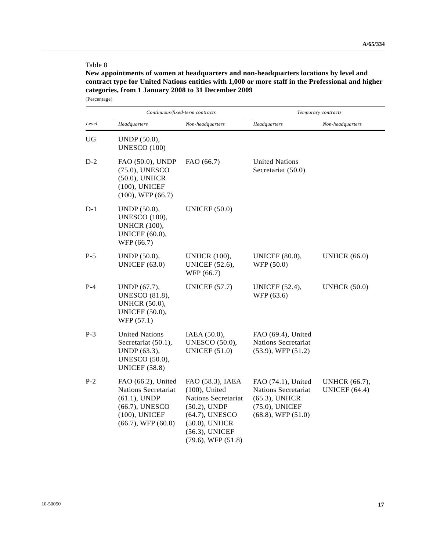## Table 8

**New appointments of women at headquarters and non-headquarters locations by level and contract type for United Nations entities with 1,000 or more staff in the Professional and higher categories, from 1 January 2008 to 31 December 2009**  (Percentage)

|       |                                                                                                                                   | Continuous/fixed-term contracts                                                                                                                                | Temporary contracts                                                                                               |                                              |  |  |  |
|-------|-----------------------------------------------------------------------------------------------------------------------------------|----------------------------------------------------------------------------------------------------------------------------------------------------------------|-------------------------------------------------------------------------------------------------------------------|----------------------------------------------|--|--|--|
| Level | Headquarters                                                                                                                      | Non-headquarters                                                                                                                                               | Headquarters                                                                                                      | Non-headquarters                             |  |  |  |
| UG    | UNDP (50.0),<br><b>UNESCO (100)</b>                                                                                               |                                                                                                                                                                |                                                                                                                   |                                              |  |  |  |
| $D-2$ | FAO (50.0), UNDP<br>(75.0), UNESCO<br>$(50.0)$ , UNHCR<br>$(100)$ , UNICEF<br>$(100)$ , WFP $(66.7)$                              | FAO (66.7)                                                                                                                                                     | <b>United Nations</b><br>Secretariat (50.0)                                                                       |                                              |  |  |  |
| $D-1$ | UNDP (50.0),<br><b>UNESCO</b> (100),<br><b>UNHCR</b> (100),<br><b>UNICEF</b> (60.0),<br>WFP (66.7)                                | <b>UNICEF (50.0)</b>                                                                                                                                           |                                                                                                                   |                                              |  |  |  |
| $P-5$ | UNDP (50.0),<br>UNICEF $(63.0)$                                                                                                   | <b>UNHCR</b> (100),<br><b>UNICEF</b> (52.6),<br>WFP (66.7)                                                                                                     | <b>UNICEF</b> (80.0),<br>WFP (50.0)                                                                               | <b>UNHCR</b> (66.0)                          |  |  |  |
| $P-4$ | UNDP (67.7),<br><b>UNESCO</b> (81.8),<br><b>UNHCR</b> (50.0),<br><b>UNICEF</b> (50.0),<br>WFP (57.1)                              | <b>UNICEF (57.7)</b>                                                                                                                                           | <b>UNICEF</b> (52.4),<br>WFP (63.6)                                                                               | <b>UNHCR (50.0)</b>                          |  |  |  |
| $P-3$ | <b>United Nations</b><br>Secretariat (50.1),<br>UNDP (63.3),<br><b>UNESCO</b> (50.0),<br><b>UNICEF</b> (58.8)                     | IAEA (50.0),<br><b>UNESCO</b> (50.0),<br>UNICEF $(51.0)$                                                                                                       | FAO (69.4), United<br><b>Nations Secretariat</b><br>$(53.9)$ , WFP $(51.2)$                                       |                                              |  |  |  |
| $P-2$ | FAO (66.2), United<br><b>Nations Secretariat</b><br>$(61.1)$ , UNDP<br>(66.7), UNESCO<br>(100), UNICEF<br>$(66.7)$ , WFP $(60.0)$ | FAO (58.3), IAEA<br>$(100)$ , United<br>Nations Secretariat<br>$(50.2)$ , UNDP<br>(64.7), UNESCO<br>(50.0), UNHCR<br>(56.3), UNICEF<br>$(79.6)$ , WFP $(51.8)$ | FAO (74.1), United<br><b>Nations Secretariat</b><br>$(65.3)$ , UNHCR<br>(75.0), UNICEF<br>$(68.8)$ , WFP $(51.0)$ | <b>UNHCR</b> (66.7),<br><b>UNICEF</b> (64.4) |  |  |  |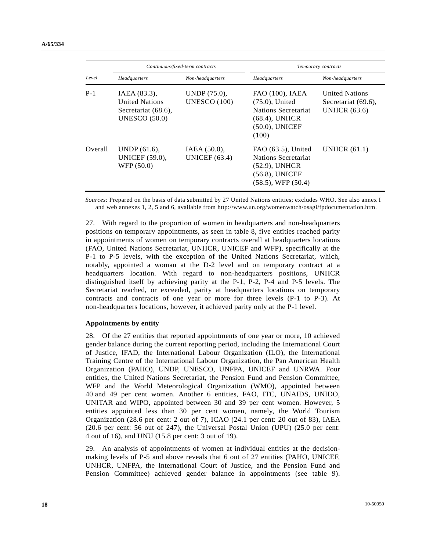|         |                                                                                      | Continuous/fixed-term contracts     | Temporary contracts                                                                                          |                                                                     |  |  |  |
|---------|--------------------------------------------------------------------------------------|-------------------------------------|--------------------------------------------------------------------------------------------------------------|---------------------------------------------------------------------|--|--|--|
| Level   | Headquarters                                                                         | Non-headquarters                    | Headquarters                                                                                                 | Non-headquarters                                                    |  |  |  |
| $P-1$   | IAEA (83.3),<br><b>United Nations</b><br>Secretariat (68.6),<br><b>UNESCO (50.0)</b> | UNDP (75.0),<br><b>UNESCO (100)</b> | FAO (100), IAEA<br>$(75.0)$ , United<br>Nations Secretariat<br>$(68.4)$ , UNHCR<br>(50.0), UNICEF<br>(100)   | <b>United Nations</b><br>Secretariat (69.6).<br><b>UNHCR</b> (63.6) |  |  |  |
| Overall | UNDP (61.6),<br><b>UNICEF</b> (59.0),<br>WFP (50.0)                                  | IAEA (50.0),<br>UNICEF $(63.4)$     | $FAO(63.5)$ , United<br>Nations Secretariat<br>$(52.9)$ , UNHCR<br>(56.8), UNICEF<br>$(58.5)$ , WFP $(50.4)$ | UNHCR $(61.1)$                                                      |  |  |  |

*Sources*: Prepared on the basis of data submitted by 27 United Nations entities; excludes WHO. See also annex I and web annexes 1, 2, 5 and 6, available from http://www.un.org/womenwatch/osagi/fpdocumentation.htm.

27. With regard to the proportion of women in headquarters and non-headquarters positions on temporary appointments, as seen in table 8, five entities reached parity in appointments of women on temporary contracts overall at headquarters locations (FAO, United Nations Secretariat, UNHCR, UNICEF and WFP), specifically at the P-1 to P-5 levels, with the exception of the United Nations Secretariat, which, notably, appointed a woman at the D-2 level and on temporary contract at a headquarters location. With regard to non-headquarters positions, UNHCR distinguished itself by achieving parity at the P-1, P-2, P-4 and P-5 levels. The Secretariat reached, or exceeded, parity at headquarters locations on temporary contracts and contracts of one year or more for three levels (P-1 to P-3). At non-headquarters locations, however, it achieved parity only at the P-1 level.

### **Appointments by entity**

28. Of the 27 entities that reported appointments of one year or more, 10 achieved gender balance during the current reporting period, including the International Court of Justice, IFAD, the International Labour Organization (ILO), the International Training Centre of the International Labour Organization, the Pan American Health Organization (PAHO), UNDP, UNESCO, UNFPA, UNICEF and UNRWA. Four entities, the United Nations Secretariat, the Pension Fund and Pension Committee, WFP and the World Meteorological Organization (WMO), appointed between 40 and 49 per cent women. Another 6 entities, FAO, ITC, UNAIDS, UNIDO, UNITAR and WIPO, appointed between 30 and 39 per cent women. However, 5 entities appointed less than 30 per cent women, namely, the World Tourism Organization (28.6 per cent: 2 out of 7), ICAO (24.1 per cent: 20 out of 83), IAEA (20.6 per cent: 56 out of 247), the Universal Postal Union (UPU) (25.0 per cent: 4 out of 16), and UNU (15.8 per cent: 3 out of 19).

29. An analysis of appointments of women at individual entities at the decisionmaking levels of P-5 and above reveals that 6 out of 27 entities (PAHO, UNICEF, UNHCR, UNFPA, the International Court of Justice, and the Pension Fund and Pension Committee) achieved gender balance in appointments (see table 9).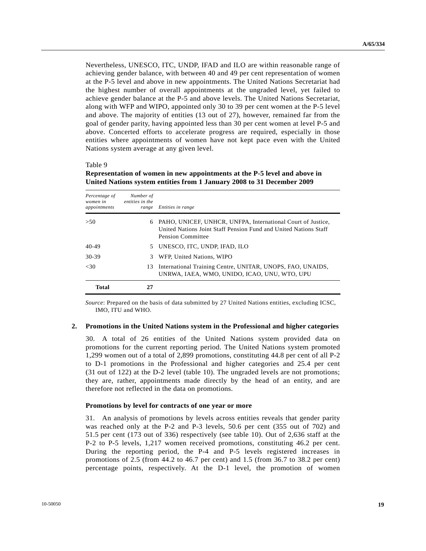Nevertheless, UNESCO, ITC, UNDP, IFAD and ILO are within reasonable range of achieving gender balance, with between 40 and 49 per cent representation of women at the P-5 level and above in new appointments. The United Nations Secretariat had the highest number of overall appointments at the ungraded level, yet failed to achieve gender balance at the P-5 and above levels. The United Nations Secretariat, along with WFP and WIPO, appointed only 30 to 39 per cent women at the P-5 level and above. The majority of entities (13 out of 27), however, remained far from the goal of gender parity, having appointed less than 30 per cent women at level P-5 and above. Concerted efforts to accelerate progress are required, especially in those entities where appointments of women have not kept pace even with the United Nations system average at any given level.

#### Table 9

| Percentage of<br>women in<br>appointments | Number of<br>entities in the<br>range | Entities in range                                                                                                                                    |
|-------------------------------------------|---------------------------------------|------------------------------------------------------------------------------------------------------------------------------------------------------|
| > 50                                      | 6                                     | PAHO, UNICEF, UNHCR, UNFPA, International Court of Justice,<br>United Nations Joint Staff Pension Fund and United Nations Staff<br>Pension Committee |
| $40 - 49$                                 | 5.                                    | UNESCO, ITC, UNDP, IFAD, ILO                                                                                                                         |
| 30-39                                     | 3                                     | WFP, United Nations, WIPO                                                                                                                            |
| <30                                       | 13                                    | International Training Centre, UNITAR, UNOPS, FAO, UNAIDS,<br>UNRWA, IAEA, WMO, UNIDO, ICAO, UNU, WTO, UPU                                           |
| Total                                     |                                       |                                                                                                                                                      |

**Representation of women in new appointments at the P-5 level and above in United Nations system entities from 1 January 2008 to 31 December 2009** 

*Source*: Prepared on the basis of data submitted by 27 United Nations entities, excluding ICSC, IMO, ITU and WHO.

#### **2. Promotions in the United Nations system in the Professional and higher categories**

30. A total of 26 entities of the United Nations system provided data on promotions for the current reporting period. The United Nations system promoted 1,299 women out of a total of 2,899 promotions, constituting 44.8 per cent of all P-2 to D-1 promotions in the Professional and higher categories and 25.4 per cent (31 out of 122) at the D-2 level (table 10). The ungraded levels are not promotions; they are, rather, appointments made directly by the head of an entity, and are therefore not reflected in the data on promotions.

#### **Promotions by level for contracts of one year or more**

31. An analysis of promotions by levels across entities reveals that gender parity was reached only at the P-2 and P-3 levels, 50.6 per cent (355 out of 702) and 51.5 per cent (173 out of 336) respectively (see table 10). Out of 2,636 staff at the P-2 to P-5 levels, 1,217 women received promotions, constituting 46.2 per cent. During the reporting period, the P-4 and P-5 levels registered increases in promotions of 2.5 (from 44.2 to 46.7 per cent) and 1.5 (from 36.7 to 38.2 per cent) percentage points, respectively. At the D-1 level, the promotion of women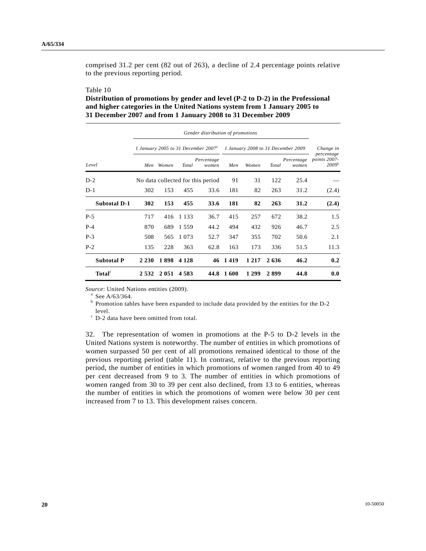comprised 31.2 per cent (82 out of 263), a decline of 2.4 percentage points relative to the previous reporting period.

#### Table 10

## **Distribution of promotions by gender and level (P-2 to D-2) in the Professional and higher categories in the United Nations system from 1 January 2005 to 31 December 2007 and from 1 January 2008 to 31 December 2009**

|                     |         | Gender distribution of promotions |         |                                                 |                                    |         |       |                     |                                                 |  |  |
|---------------------|---------|-----------------------------------|---------|-------------------------------------------------|------------------------------------|---------|-------|---------------------|-------------------------------------------------|--|--|
|                     |         |                                   |         | 1 January 2005 to 31 December 2007 <sup>a</sup> | 1 January 2008 to 31 December 2009 |         |       |                     | Change in                                       |  |  |
| Level               | Men     | Women                             | Total   | Percentage<br>women                             | Men                                | Women   | Total | Percentage<br>women | percentage<br>points 2007-<br>2009 <sup>b</sup> |  |  |
| $D-2$               |         |                                   |         | No data collected for this period               | 91                                 | 31      | 122   | 25.4                |                                                 |  |  |
| $D-1$               | 302     | 153                               | 455     | 33.6                                            | 181                                | 82      | 263   | 31.2                | (2.4)                                           |  |  |
| <b>Subtotal D-1</b> | 302     | 153                               | 455     | 33.6                                            | 181                                | 82      | 263   | 31.2                | (2.4)                                           |  |  |
| $P-5$               | 717     | 416                               | 1 1 3 3 | 36.7                                            | 415                                | 257     | 672   | 38.2                | 1.5                                             |  |  |
| $P-4$               | 870     | 689                               | 1559    | 44.2                                            | 494                                | 432     | 926   | 46.7                | 2.5                                             |  |  |
| $P-3$               | 508     | 565                               | 1 0 7 3 | 52.7                                            | 347                                | 355     | 702   | 50.6                | 2.1                                             |  |  |
| $P-2$               | 135     | 228                               | 363     | 62.8                                            | 163                                | 173     | 336   | 51.5                | 11.3                                            |  |  |
| <b>Subtotal P</b>   | 2 2 3 0 | 1898                              | 4 1 2 8 | 46                                              | 1419                               | 1 2 1 7 | 2636  | 46.2                | 0.2                                             |  |  |
| Total <sup>c</sup>  | 2532    | 2 0 5 1                           | 4 5 8 3 | 44.8                                            | 1600                               | 1 2 9 9 | 2899  | 44.8                | 0.0                                             |  |  |

*Source*: United Nations entities (2009).

 $^a$  See A/63/364.

 $<sup>b</sup>$  Promotion tables have been expanded to include data provided by the entities for the D-2</sup> level.

c D-2 data have been omitted from total.

32. The representation of women in promotions at the P-5 to D-2 levels in the United Nations system is noteworthy. The number of entities in which promotions of women surpassed 50 per cent of all promotions remained identical to those of the previous reporting period (table 11). In contrast, relative to the previous reporting period, the number of entities in which promotions of women ranged from 40 to 49 per cent decreased from 9 to 3. The number of entities in which promotions of women ranged from 30 to 39 per cent also declined, from 13 to 6 entities, whereas the number of entities in which the promotions of women were below 30 per cent increased from 7 to 13. This development raises concern.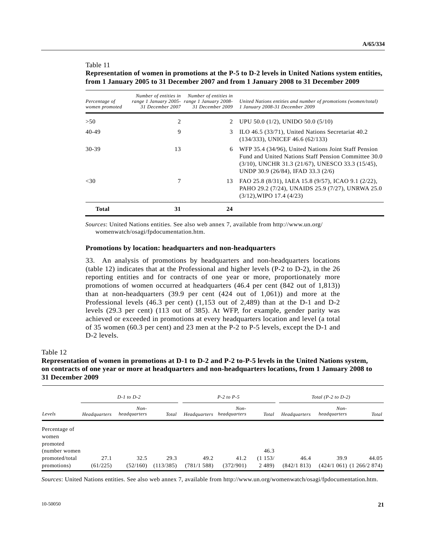#### Table 11

#### **Representation of women in promotions at the P-5 to D-2 levels in United Nations system entities, from 1 January 2005 to 31 December 2007 and from 1 January 2008 to 31 December 2009**

| Percentage of<br>women promoted | Number of entities in<br>range 1 January 2005- range 1 January 2008-<br>31 December 2007 | Number of entities in<br>31 December 2009 | United Nations entities and number of promotions (women/total)<br>1 January 2008-31 December 2009                                                                                                               |
|---------------------------------|------------------------------------------------------------------------------------------|-------------------------------------------|-----------------------------------------------------------------------------------------------------------------------------------------------------------------------------------------------------------------|
| >50                             | 2                                                                                        | 2                                         | UPU 50.0 $(1/2)$ , UNIDO 50.0 $(5/10)$                                                                                                                                                                          |
| $40 - 49$                       | 9                                                                                        | 3                                         | ILO 46.5 (33/71), United Nations Secretariat 40.2<br>$(134/333)$ , UNICEF 46.6 $(62/133)$                                                                                                                       |
| 30-39                           | 13                                                                                       | 6                                         | WFP 35.4 (34/96), United Nations Joint Staff Pension<br>Fund and United Nations Staff Pension Committee 30.0<br>$(3/10)$ , UNCHR 31.3 $(21/67)$ , UNESCO 33.3 $(15/45)$ ,<br>UNDP 30.9 (26/84), IFAD 33.3 (2/6) |
| <30                             |                                                                                          | 13.                                       | FAO 25.8 (8/31), IAEA 15.8 (9/57), ICAO 9.1 (2/22),<br>PAHO 29.2 (7/24), UNAIDS 25.9 (7/27), UNRWA 25.0<br>$(3/12)$ , WIPO 17.4 $(4/23)$                                                                        |
| <b>Total</b>                    | 31                                                                                       | 24                                        |                                                                                                                                                                                                                 |

*Sources*: United Nations entities. See also web annex 7, available from http://www.un.org/ womenwatch/osagi/fpdocumentation.htm.

#### **Promotions by location: headquarters and non-headquarters**

33. An analysis of promotions by headquarters and non-headquarters locations (table 12) indicates that at the Professional and higher levels (P-2 to D-2), in the 26 reporting entities and for contracts of one year or more, proportionately more promotions of women occurred at headquarters (46.4 per cent (842 out of 1,813)) than at non-headquarters (39.9 per cent (424 out of 1,061)) and more at the Professional levels (46.3 per cent) (1,153 out of 2,489) than at the D-1 and D-2 levels (29.3 per cent) (113 out of 385). At WFP, for example, gender parity was achieved or exceeded in promotions at every headquarters location and level (a total of 35 women (60.3 per cent) and 23 men at the P-2 to P-5 levels, except the D-1 and D-2 levels.

#### Table 12

## **Representation of women in promotions at D-1 to D-2 and P-2 to-P-5 levels in the United Nations system, on contracts of one year or more at headquarters and non-headquarters locations, from 1 January 2008 to 31 December 2009**

|                   |              | $D-1$ to $D-2$         |              |              | $P-2$ to $P-5$         |           | Total $(P-2 \text{ to } D-2)$ |                        |                           |
|-------------------|--------------|------------------------|--------------|--------------|------------------------|-----------|-------------------------------|------------------------|---------------------------|
| Levels            | Headquarters | $Non-$<br>headquarters | <b>Total</b> | Headquarters | $Non-$<br>headquarters | Total     | Headquarters                  | $Non-$<br>headquarters | Total                     |
| Percentage of     |              |                        |              |              |                        |           |                               |                        |                           |
| women<br>promoted |              |                        |              |              |                        |           |                               |                        |                           |
| (number women)    |              |                        |              |              |                        | 46.3      |                               |                        |                           |
| promoted/total    | 27.1         | 32.5                   | 29.3         | 49.2         | 41.2                   | (1153/    | 46.4                          | 39.9                   | 44.05                     |
| promotions)       | (61/225)     | (52/160)               | (113/385)    | (781/1588)   | (372/901)              | 2 4 8 9 ) | (842/1813)                    |                        | (424/1 061) (1 266/2 874) |

*Sources*: United Nations entities. See also web annex 7, available from http://www.un.org/womenwatch/osagi/fpdocumentation.htm.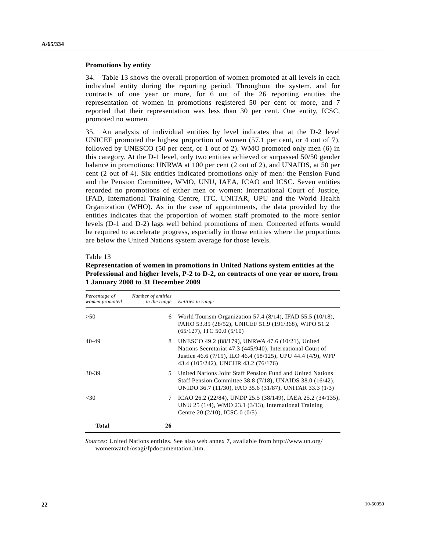#### **Promotions by entity**

34. Table 13 shows the overall proportion of women promoted at all levels in each individual entity during the reporting period. Throughout the system, and for contracts of one year or more, for 6 out of the 26 reporting entities the representation of women in promotions registered 50 per cent or more, and 7 reported that their representation was less than 30 per cent. One entity, ICSC, promoted no women.

35. An analysis of individual entities by level indicates that at the D-2 level UNICEF promoted the highest proportion of women (57.1 per cent, or 4 out of 7), followed by UNESCO (50 per cent, or 1 out of 2). WMO promoted only men (6) in this category. At the D-1 level, only two entities achieved or surpassed 50/50 gender balance in promotions: UNRWA at 100 per cent (2 out of 2), and UNAIDS, at 50 per cent (2 out of 4). Six entities indicated promotions only of men: the Pension Fund and the Pension Committee, WMO, UNU, IAEA, ICAO and ICSC. Seven entities recorded no promotions of either men or women: International Court of Justice, IFAD, International Training Centre, ITC, UNITAR, UPU and the World Health Organization (WHO). As in the case of appointments, the data provided by the entities indicates that the proportion of women staff promoted to the more senior levels (D-1 and D-2) lags well behind promotions of men. Concerted efforts would be required to accelerate progress, especially in those entities where the proportions are below the United Nations system average for those levels.

#### Table 13

**Representation of women in promotions in United Nations system entities at the Professional and higher levels, P-2 to D-2, on contracts of one year or more, from 1 January 2008 to 31 December 2009** 

| Percentage of<br>women promoted | Number of entities<br>in the range | Entities in range                                                                                                                                                                                                    |
|---------------------------------|------------------------------------|----------------------------------------------------------------------------------------------------------------------------------------------------------------------------------------------------------------------|
| > 50                            | 6                                  | World Tourism Organization 57.4 (8/14), IFAD 55.5 (10/18),<br>PAHO 53.85 (28/52), UNICEF 51.9 (191/368), WIPO 51.2<br>$(65/127)$ , ITC 50.0 $(5/10)$                                                                 |
| 40-49                           | 8                                  | UNESCO 49.2 (88/179), UNRWA 47.6 (10/21), United<br>Nations Secretariat 47.3 (445/940), International Court of<br>Justice 46.6 (7/15), ILO 46.4 (58/125), UPU 44.4 (4/9), WFP<br>43.4 (105/242), UNCHR 43.2 (76/176) |
| 30-39                           | 5                                  | United Nations Joint Staff Pension Fund and United Nations<br>Staff Pension Committee 38.8 (7/18), UNAIDS 38.0 (16/42),<br>UNIDO 36.7 (11/30), FAO 35.6 (31/87), UNITAR 33.3 (1/3)                                   |
| <30                             | 7                                  | ICAO 26.2 (22/84), UNDP 25.5 (38/149), IAEA 25.2 (34/135),<br>UNU 25 $(1/4)$ , WMO 23.1 $(3/13)$ , International Training<br>Centre 20 $(2/10)$ , ICSC 0 $(0/5)$                                                     |
| <b>Total</b>                    | 26                                 |                                                                                                                                                                                                                      |

*Sources*: United Nations entities. See also web annex 7, available from http://www.un.org/ womenwatch/osagi/fpdocumentation.htm.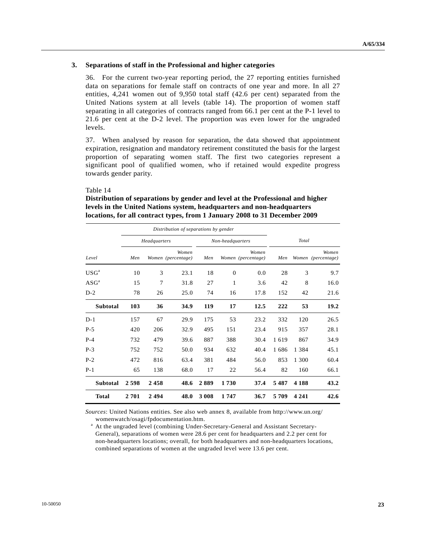#### **3. Separations of staff in the Professional and higher categories**

36. For the current two-year reporting period, the 27 reporting entities furnished data on separations for female staff on contracts of one year and more. In all 27 entities, 4,241 women out of 9,950 total staff (42.6 per cent) separated from the United Nations system at all levels (table 14). The proportion of women staff separating in all categories of contracts ranged from 66.1 per cent at the P-1 level to 21.6 per cent at the D-2 level. The proportion was even lower for the ungraded levels.

37. When analysed by reason for separation, the data showed that appointment expiration, resignation and mandatory retirement constituted the basis for the largest proportion of separating women staff. The first two categories represent a significant pool of qualified women, who if retained would expedite progress towards gender parity.

#### Table 14

## **Distribution of separations by gender and level at the Professional and higher levels in the United Nations system, headquarters and non-headquarters locations, for all contract types, from 1 January 2008 to 31 December 2009**

|                  |      | Distribution of separations by gender |      |       |                  |                             |       |         |                             |  |
|------------------|------|---------------------------------------|------|-------|------------------|-----------------------------|-------|---------|-----------------------------|--|
|                  |      | Headquarters                          |      |       | Non-headquarters |                             | Total |         |                             |  |
| Level            | Men  | Women<br>Women (percentage)           |      | Men   |                  | Women<br>Women (percentage) |       |         | Women<br>Women (percentage) |  |
| USG <sup>a</sup> | 10   | 3                                     | 23.1 | 18    | $\overline{0}$   | 0.0                         | 28    | 3       | 9.7                         |  |
| $\rm ASG^a$      | 15   | 7                                     | 31.8 | 27    | 1                | 3.6                         | 42    | 8       | 16.0                        |  |
| $D-2$            | 78   | 26                                    | 25.0 | 74    | 16               | 17.8                        | 152   | 42      | 21.6                        |  |
| <b>Subtotal</b>  | 103  | 36                                    | 34.9 | 119   | 17               | 12.5                        | 222   | 53      | 19.2                        |  |
| $D-1$            | 157  | 67                                    | 29.9 | 175   | 53               | 23.2                        | 332   | 120     | 26.5                        |  |
| $P-5$            | 420  | 206                                   | 32.9 | 495   | 151              | 23.4                        | 915   | 357     | 28.1                        |  |
| $P-4$            | 732  | 479                                   | 39.6 | 887   | 388              | 30.4                        | 1619  | 867     | 34.9                        |  |
| $P-3$            | 752  | 752                                   | 50.0 | 934   | 632              | 40.4                        | 1686  | 1 3 8 4 | 45.1                        |  |
| $P-2$            | 472  | 816                                   | 63.4 | 381   | 484              | 56.0                        | 853   | 1 300   | 60.4                        |  |
| $P-1$            | 65   | 138                                   | 68.0 | 17    | 22               | 56.4                        | 82    | 160     | 66.1                        |  |
| <b>Subtotal</b>  | 2598 | 2458                                  | 48.6 | 2889  | 1730             | 37.4                        | 5487  | 4 1 8 8 | 43.2                        |  |
| <b>Total</b>     | 2701 | 2494                                  | 48.0 | 3 008 | 1747             | 36.7                        | 5709  | 4 2 4 1 | 42.6                        |  |

*Sources*: United Nations entities. See also web annex 8, available from http://www.un.org/ womenwatch/osagi/fpdocumentation.htm.

<sup>a</sup> At the ungraded level (combining Under-Secretary-General and Assistant Secretary-General), separations of women were 28.6 per cent for headquarters and 2.2 per cent for non-headquarters locations; overall, for both headquarters and non-headquarters locations, combined separations of women at the ungraded level were 13.6 per cent.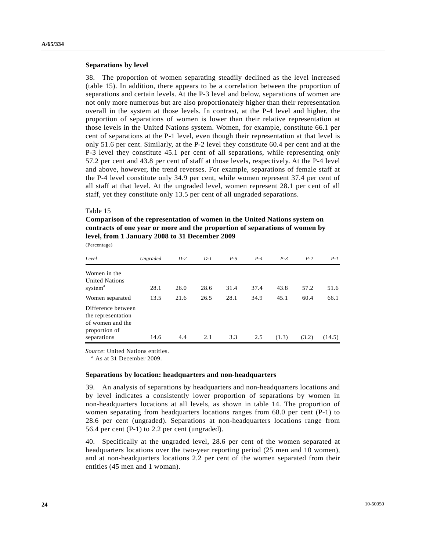#### **Separations by level**

38. The proportion of women separating steadily declined as the level increased (table 15). In addition, there appears to be a correlation between the proportion of separations and certain levels. At the P-3 level and below, separations of women are not only more numerous but are also proportionately higher than their representation overall in the system at those levels. In contrast, at the P-4 level and higher, the proportion of separations of women is lower than their relative representation at those levels in the United Nations system. Women, for example, constitute 66.1 per cent of separations at the P-1 level, even though their representation at that level is only 51.6 per cent. Similarly, at the P-2 level they constitute 60.4 per cent and at the P-3 level they constitute 45.1 per cent of all separations, while representing only 57.2 per cent and 43.8 per cent of staff at those levels, respectively. At the P-4 level and above, however, the trend reverses. For example, separations of female staff at the P-4 level constitute only 34.9 per cent, while women represent 37.4 per cent of all staff at that level. At the ungraded level, women represent 28.1 per cent of all staff, yet they constitute only 13.5 per cent of all ungraded separations.

#### Table 15

**Comparison of the representation of women in the United Nations system on contracts of one year or more and the proportion of separations of women by level, from 1 January 2008 to 31 December 2009** 

(Percentage)

| Level                                                                         | Ungraded     | $D-2$        | $D-1$        | $P-5$        | $P-4$        | $P-3$        | $P-2$        | $P-I$        |
|-------------------------------------------------------------------------------|--------------|--------------|--------------|--------------|--------------|--------------|--------------|--------------|
| Women in the<br><b>United Nations</b>                                         |              |              |              |              |              |              |              |              |
| system <sup>a</sup><br>Women separated                                        | 28.1<br>13.5 | 26.0<br>21.6 | 28.6<br>26.5 | 31.4<br>28.1 | 37.4<br>34.9 | 43.8<br>45.1 | 57.2<br>60.4 | 51.6<br>66.1 |
| Difference between<br>the representation<br>of women and the<br>proportion of |              |              |              |              |              |              |              |              |
| separations                                                                   | 14.6         | 4.4          | 2.1          | 3.3          | 2.5          | (1.3)        | (3.2)        | (14.5)       |

*Source*: United Nations entities.

<sup>a</sup> As at 31 December 2009.

#### **Separations by location: headquarters and non-headquarters**

39. An analysis of separations by headquarters and non-headquarters locations and by level indicates a consistently lower proportion of separations by women in non-headquarters locations at all levels, as shown in table 14. The proportion of women separating from headquarters locations ranges from 68.0 per cent (P-1) to 28.6 per cent (ungraded). Separations at non-headquarters locations range from 56.4 per cent (P-1) to 2.2 per cent (ungraded).

40. Specifically at the ungraded level, 28.6 per cent of the women separated at headquarters locations over the two-year reporting period (25 men and 10 women), and at non-headquarters locations 2.2 per cent of the women separated from their entities (45 men and 1 woman).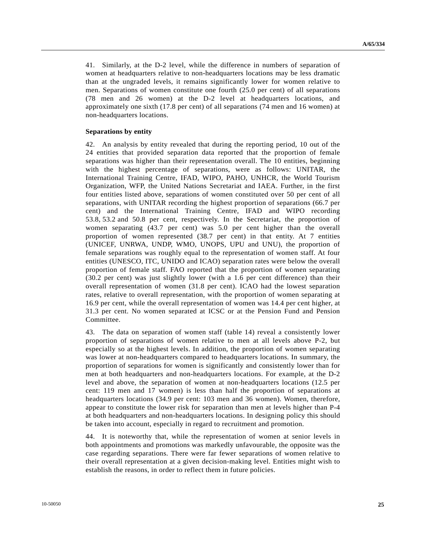41. Similarly, at the D-2 level, while the difference in numbers of separation of women at headquarters relative to non-headquarters locations may be less dramatic than at the ungraded levels, it remains significantly lower for women relative to men. Separations of women constitute one fourth (25.0 per cent) of all separations (78 men and 26 women) at the D-2 level at headquarters locations, and approximately one sixth (17.8 per cent) of all separations (74 men and 16 women) at non-headquarters locations.

#### **Separations by entity**

42. An analysis by entity revealed that during the reporting period, 10 out of the 24 entities that provided separation data reported that the proportion of female separations was higher than their representation overall. The 10 entities, beginning with the highest percentage of separations, were as follows: UNITAR, the International Training Centre, IFAD, WIPO, PAHO, UNHCR, the World Tourism Organization, WFP, the United Nations Secretariat and IAEA. Further, in the first four entities listed above, separations of women constituted over 50 per cent of all separations, with UNITAR recording the highest proportion of separations (66.7 per cent) and the International Training Centre, IFAD and WIPO recording 53.8, 53.2 and 50.8 per cent, respectively. In the Secretariat, the proportion of women separating (43.7 per cent) was 5.0 per cent higher than the overall proportion of women represented (38.7 per cent) in that entity. At 7 entities (UNICEF, UNRWA, UNDP, WMO, UNOPS, UPU and UNU), the proportion of female separations was roughly equal to the representation of women staff. At four entities (UNESCO, ITC, UNIDO and ICAO) separation rates were below the overall proportion of female staff. FAO reported that the proportion of women separating (30.2 per cent) was just slightly lower (with a 1.6 per cent difference) than their overall representation of women (31.8 per cent). ICAO had the lowest separation rates, relative to overall representation, with the proportion of women separating at 16.9 per cent, while the overall representation of women was 14.4 per cent higher, at 31.3 per cent. No women separated at ICSC or at the Pension Fund and Pension Committee.

43. The data on separation of women staff (table 14) reveal a consistently lower proportion of separations of women relative to men at all levels above P-2, but especially so at the highest levels. In addition, the proportion of women separating was lower at non-headquarters compared to headquarters locations. In summary, the proportion of separations for women is significantly and consistently lower than for men at both headquarters and non-headquarters locations. For example, at the D-2 level and above, the separation of women at non-headquarters locations (12.5 per cent: 119 men and 17 women) is less than half the proportion of separations at headquarters locations (34.9 per cent: 103 men and 36 women). Women, therefore, appear to constitute the lower risk for separation than men at levels higher than P-4 at both headquarters and non-headquarters locations. In designing policy this should be taken into account, especially in regard to recruitment and promotion.

44. It is noteworthy that, while the representation of women at senior levels in both appointments and promotions was markedly unfavourable, the opposite was the case regarding separations. There were far fewer separations of women relative to their overall representation at a given decision-making level. Entities might wish to establish the reasons, in order to reflect them in future policies.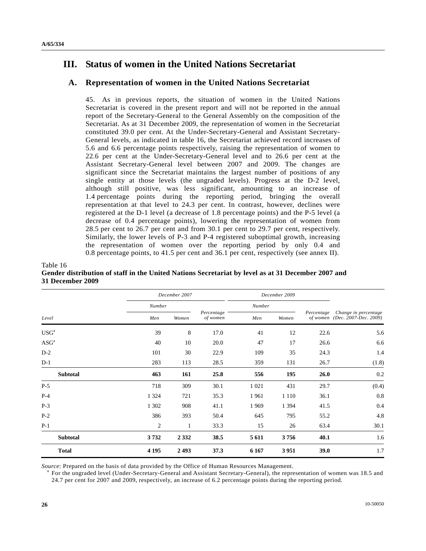# **III. Status of women in the United Nations Secretariat**

## **A. Representation of women in the United Nations Secretariat**

45. As in previous reports, the situation of women in the United Nations Secretariat is covered in the present report and will not be reported in the annual report of the Secretary-General to the General Assembly on the composition of the Secretariat. As at 31 December 2009, the representation of women in the Secretariat constituted 39.0 per cent. At the Under-Secretary-General and Assistant Secretary-General levels, as indicated in table 16, the Secretariat achieved record increases of 5.6 and 6.6 percentage points respectively, raising the representation of women to 22.6 per cent at the Under-Secretary-General level and to 26.6 per cent at the Assistant Secretary-General level between 2007 and 2009. The changes are significant since the Secretariat maintains the largest number of positions of any single entity at those levels (the ungraded levels). Progress at the D-2 level, although still positive, was less significant, amounting to an increase of 1.4 percentage points during the reporting period, bringing the overall representation at that level to 24.3 per cent. In contrast, however, declines were registered at the D-1 level (a decrease of 1.8 percentage points) and the P-5 level (a decrease of 0.4 percentage points), lowering the representation of women from 28.5 per cent to 26.7 per cent and from 30.1 per cent to 29.7 per cent, respectively. Similarly, the lower levels of P-3 and P-4 registered suboptimal growth, increasing the representation of women over the reporting period by only 0.4 and 0.8 percentage points, to 41.5 per cent and 36.1 per cent, respectively (see annex II).

|                                          |                | December 2007 |                        |         | December 2009 |            |                                                        |  |
|------------------------------------------|----------------|---------------|------------------------|---------|---------------|------------|--------------------------------------------------------|--|
|                                          | Number         |               |                        | Number  |               |            |                                                        |  |
| Level                                    | Men            | Women         | Percentage<br>of women | Men     | Women         | Percentage | Change in percentage<br>of women (Dec. 2007-Dec. 2009) |  |
| $\ensuremath{\mathrm{USG}}^{\mathrm{a}}$ | 39             | 8             | 17.0                   | 41      | 12            | 22.6       | 5.6                                                    |  |
| $\text{ASG}^\text{a}$                    | 40             | 10            | 20.0                   | 47      | 17            | 26.6       | 6.6                                                    |  |
| $D-2$                                    | 101            | 30            | 22.9                   | 109     | 35            | 24.3       | 1.4                                                    |  |
| $D-1$                                    | 283            | 113           | 28.5                   | 359     | 131           | 26.7       | (1.8)                                                  |  |
| <b>Subtotal</b>                          | 463            | 161           | 25.8                   | 556     | 195           | 26.0       | 0.2                                                    |  |
| $P-5$                                    | 718            | 309           | 30.1                   | 1 0 2 1 | 431           | 29.7       | (0.4)                                                  |  |
| $P-4$                                    | 1 3 2 4        | 721           | 35.3                   | 1961    | 1 1 1 0       | 36.1       | 0.8                                                    |  |
| $P-3$                                    | 1 3 0 2        | 908           | 41.1                   | 1969    | 1 3 9 4       | 41.5       | 0.4                                                    |  |
| $P-2$                                    | 386            | 393           | 50.4                   | 645     | 795           | 55.2       | 4.8                                                    |  |
| $P-1$                                    | $\overline{c}$ | $\mathbf{1}$  | 33.3                   | 15      | 26            | 63.4       | 30.1                                                   |  |
| <b>Subtotal</b>                          | 3732           | 2 3 3 2       | 38.5                   | 5 6 1 1 | 3756          | 40.1       | 1.6                                                    |  |
| <b>Total</b>                             | 4 1 9 5        | 2493          | 37.3                   | 6 1 6 7 | 3951          | 39.0       | 1.7                                                    |  |

#### Table 16 **Gender distribution of staff in the United Nations Secretariat by level as at 31 December 2007 and 31 December 2009**

Source: Prepared on the basis of data provided by the Office of Human Resources Management.

 For the ungraded level (Under-Secretary-General and Assistant Secretary-General), the representation of women was 18.5 and 24.7 per cent for 2007 and 2009, respectively, an increase of 6.2 percentage points during the reporting period.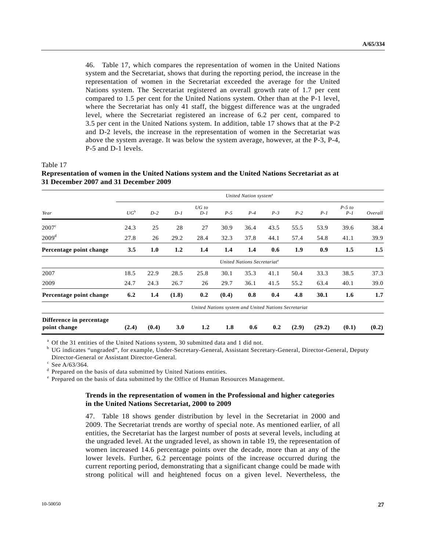46. Table 17, which compares the representation of women in the United Nations system and the Secretariat, shows that during the reporting period, the increase in the representation of women in the Secretariat exceeded the average for the United Nations system. The Secretariat registered an overall growth rate of 1.7 per cent compared to 1.5 per cent for the United Nations system. Other than at the P-1 level, where the Secretariat has only 41 staff, the biggest difference was at the ungraded level, where the Secretariat registered an increase of 6.2 per cent, compared to 3.5 per cent in the United Nations system. In addition, table 17 shows that at the P-2 and D-2 levels, the increase in the representation of women in the Secretariat was above the system average. It was below the system average, however, at the P-3, P-4, P-5 and D-1 levels.

Table 17

| 31 December 2007 and 31 December 2009                |                                   |       |       |                  |       |                                         |       |       |        |                   |         |
|------------------------------------------------------|-----------------------------------|-------|-------|------------------|-------|-----------------------------------------|-------|-------|--------|-------------------|---------|
|                                                      | United Nation system <sup>a</sup> |       |       |                  |       |                                         |       |       |        |                   |         |
| Year                                                 | $UG^b$                            | $D-2$ | $D-1$ | $UG$ to<br>$D-1$ | $P-5$ | $P-4$                                   | $P-3$ | $P-2$ | $P-1$  | $P-5$ to<br>$P-1$ | Overall |
| $2007^{\circ}$                                       | 24.3                              | 25    | 28    | 27               | 30.9  | 36.4                                    | 43.5  | 55.5  | 53.9   | 39.6              | 38.4    |
| 2009 <sup>d</sup>                                    | 27.8                              | 26    | 29.2  | 28.4             | 32.3  | 37.8                                    | 44.1  | 57.4  | 54.8   | 41.1              | 39.9    |
| Percentage point change                              | 3.5                               | 1.0   | 1.2   | 1.4              | 1.4   | 1.4                                     | 0.6   | 1.9   | 0.9    | 1.5               | 1.5     |
|                                                      |                                   |       |       |                  |       | United Nations Secretariat <sup>e</sup> |       |       |        |                   |         |
| 2007                                                 | 18.5                              | 22.9  | 28.5  | 25.8             | 30.1  | 35.3                                    | 41.1  | 50.4  | 33.3   | 38.5              | 37.3    |
| 2009                                                 | 24.7                              | 24.3  | 26.7  | 26               | 29.7  | 36.1                                    | 41.5  | 55.2  | 63.4   | 40.1              | 39.0    |
| Percentage point change                              | 6.2                               | 1.4   | (1.8) | 0.2              | (0.4) | 0.8                                     | 0.4   | 4.8   | 30.1   | 1.6               | 1.7     |
| United Nations system and United Nations Secretariat |                                   |       |       |                  |       |                                         |       |       |        |                   |         |
| Difference in percentage<br>point change             | (2.4)                             | (0.4) | 3.0   | 1.2              | 1.8   | 0.6                                     | 0.2   | (2.9) | (29.2) | (0.1)             | (0.2)   |

# **Representation of women in the United Nations system and the United Nations Secretariat as at**

<sup>a</sup> Of the 31 entities of the United Nations system, 30 submitted data and 1 did not.

<sup>b</sup> UG indicates "ungraded", for example, Under-Secretary-General, Assistant Secretary-General, Director-General, Deputy Director-General or Assistant Director-General.

c See A/63/364.

<sup>d</sup> Prepared on the basis of data submitted by United Nations entities.

<sup>e</sup> Prepared on the basis of data submitted by the Office of Human Resources Management.

#### **Trends in the representation of women in the Professional and higher categories in the United Nations Secretariat, 2000 to 2009**

47. Table 18 shows gender distribution by level in the Secretariat in 2000 and 2009. The Secretariat trends are worthy of special note. As mentioned earlier, of all entities, the Secretariat has the largest number of posts at several levels, including at the ungraded level. At the ungraded level, as shown in table 19, the representation of women increased 14.6 percentage points over the decade, more than at any of the lower levels. Further, 6.2 percentage points of the increase occurred during the current reporting period, demonstrating that a significant change could be made with strong political will and heightened focus on a given level. Nevertheless, the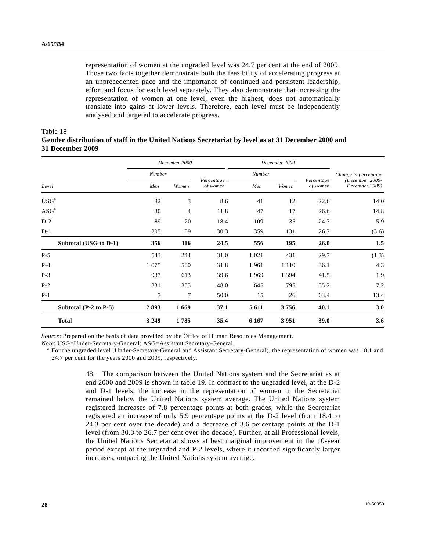representation of women at the ungraded level was 24.7 per cent at the end of 2009. Those two facts together demonstrate both the feasibility of accelerating progress at an unprecedented pace and the importance of continued and persistent leadership, effort and focus for each level separately. They also demonstrate that increasing the representation of women at one level, even the highest, does not automatically translate into gains at lower levels. Therefore, each level must be independently analysed and targeted to accelerate progress.

#### Table 18

## **Gender distribution of staff in the United Nations Secretariat by level as at 31 December 2000 and 31 December 2009**

|                           |         | December 2000  |                        |         | December 2009 |                        |                                   |  |
|---------------------------|---------|----------------|------------------------|---------|---------------|------------------------|-----------------------------------|--|
|                           | Number  |                |                        | Number  |               |                        | Change in percentage              |  |
| Level                     | Men     | Women          | Percentage<br>of women | Men     | Women         | Percentage<br>of women | (December 2000-<br>December 2009) |  |
| USG <sup>a</sup>          | 32      | 3              | 8.6                    | 41      | 12            | 22.6                   | 14.0                              |  |
| ASG <sup>a</sup>          | 30      | $\overline{4}$ | 11.8                   | 47      | 17            | 26.6                   | 14.8                              |  |
| $D-2$                     | 89      | 20             | 18.4                   | 109     | 35            | 24.3                   | 5.9                               |  |
| $D-1$                     | 205     | 89             | 30.3                   | 359     | 131           | 26.7                   | (3.6)                             |  |
| Subtotal (USG to D-1)     | 356     | 116            | 24.5                   | 556     | 195           | 26.0                   | 1.5                               |  |
| $P-5$                     | 543     | 244            | 31.0                   | 1 0 2 1 | 431           | 29.7                   | (1.3)                             |  |
| $P-4$                     | 1 0 7 5 | 500            | 31.8                   | 1961    | 1 1 1 0       | 36.1                   | 4.3                               |  |
| $P-3$                     | 937     | 613            | 39.6                   | 1969    | 1 3 9 4       | 41.5                   | 1.9                               |  |
| $P-2$                     | 331     | 305            | 48.0                   | 645     | 795           | 55.2                   | 7.2                               |  |
| $P-1$                     | 7       | $\overline{7}$ | 50.0                   | 15      | 26            | 63.4                   | 13.4                              |  |
| Subtotal $(P-2$ to $P-5)$ | 2893    | 1669           | 37.1                   | 5 6 11  | 3756          | 40.1                   | 3.0                               |  |
| <b>Total</b>              | 3 2 4 9 | 1785           | 35.4                   | 6 1 6 7 | 3951          | 39.0                   | 3.6                               |  |

*Source*: Prepared on the basis of data provided by the Office of Human Resources Management.

*Note*: USG=Under-Secretary-General; ASG=Assistant Secretary-General.

<sup>a</sup> For the ungraded level (Under-Secretary-General and Assistant Secretary-General), the representation of women was 10.1 and 24.7 per cent for the years 2000 and 2009, respectively.

> 48. The comparison between the United Nations system and the Secretariat as at end 2000 and 2009 is shown in table 19. In contrast to the ungraded level, at the D-2 and D-1 levels, the increase in the representation of women in the Secretariat remained below the United Nations system average. The United Nations system registered increases of 7.8 percentage points at both grades, while the Secretariat registered an increase of only 5.9 percentage points at the D-2 level (from 18.4 to 24.3 per cent over the decade) and a decrease of 3.6 percentage points at the D-1 level (from 30.3 to 26.7 per cent over the decade). Further, at all Professional levels, the United Nations Secretariat shows at best marginal improvement in the 10-year period except at the ungraded and P-2 levels, where it recorded significantly larger increases, outpacing the United Nations system average.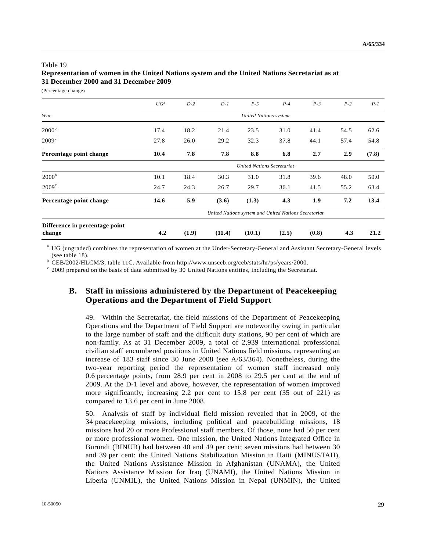## Table 19 **Representation of women in the United Nations system and the United Nations Secretariat as at 31 December 2000 and 31 December 2009**

(Percentage change)

|                                          | $UG^a$ | $D-2$ | $D-1$  | $P-5$                                                | $P-4$ | $P-3$ | $P-2$ | $P-I$ |
|------------------------------------------|--------|-------|--------|------------------------------------------------------|-------|-------|-------|-------|
| Year                                     |        |       |        | <b>United Nations system</b>                         |       |       |       |       |
| 2000 <sup>b</sup>                        | 17.4   | 18.2  | 21.4   | 23.5                                                 | 31.0  | 41.4  | 54.5  | 62.6  |
| $2009^{\circ}$                           | 27.8   | 26.0  | 29.2   | 32.3                                                 | 37.8  | 44.1  | 57.4  | 54.8  |
| Percentage point change                  | 10.4   | 7.8   | 7.8    | 8.8                                                  | 6.8   | 2.7   | 2.9   | (7.8) |
|                                          |        |       |        | <b>United Nations Secretariat</b>                    |       |       |       |       |
| 2000 <sup>b</sup>                        | 10.1   | 18.4  | 30.3   | 31.0                                                 | 31.8  | 39.6  | 48.0  | 50.0  |
| $2009^{\circ}$                           | 24.7   | 24.3  | 26.7   | 29.7                                                 | 36.1  | 41.5  | 55.2  | 63.4  |
| Percentage point change                  | 14.6   | 5.9   | (3.6)  | (1.3)                                                | 4.3   | 1.9   | 7.2   | 13.4  |
|                                          |        |       |        | United Nations system and United Nations Secretariat |       |       |       |       |
| Difference in percentage point<br>change | 4.2    | (1.9) | (11.4) | (10.1)                                               | (2.5) | (0.8) | 4.3   | 21.2  |

<sup>a</sup> UG (ungraded) combines the representation of women at the Under-Secretary-General and Assistant Secretary-General levels (see table 18).

 $\mu$ <sup>b</sup> CEB/2002/HLCM/3, table 11C. Available from http://www.unsceb.org/ceb/stats/hr/ps/years/2000.

 $\degree$  2009 prepared on the basis of data submitted by 30 United Nations entities, including the Secretariat.

## **B. Staff in missions administered by the Department of Peacekeeping Operations and the Department of Field Support**

49. Within the Secretariat, the field missions of the Department of Peacekeeping Operations and the Department of Field Support are noteworthy owing in particular to the large number of staff and the difficult duty stations, 90 per cent of which are non-family. As at 31 December 2009, a total of 2,939 international professional civilian staff encumbered positions in United Nations field missions, representing an increase of 183 staff since 30 June 2008 (see A/63/364). Nonetheless, during the two-year reporting period the representation of women staff increased only 0.6 percentage points, from 28.9 per cent in 2008 to 29.5 per cent at the end of 2009. At the D-1 level and above, however, the representation of women improved more significantly, increasing 2.2 per cent to 15.8 per cent (35 out of 221) as compared to 13.6 per cent in June 2008.

50. Analysis of staff by individual field mission revealed that in 2009, of the 34 peacekeeping missions, including political and peacebuilding missions, 18 missions had 20 or more Professional staff members. Of those, none had 50 per cent or more professional women. One mission, the United Nations Integrated Office in Burundi (BINUB) had between 40 and 49 per cent; seven missions had between 30 and 39 per cent: the United Nations Stabilization Mission in Haiti (MINUSTAH), the United Nations Assistance Mission in Afghanistan (UNAMA), the United Nations Assistance Mission for Iraq (UNAMI), the United Nations Mission in Liberia (UNMIL), the United Nations Mission in Nepal (UNMIN), the United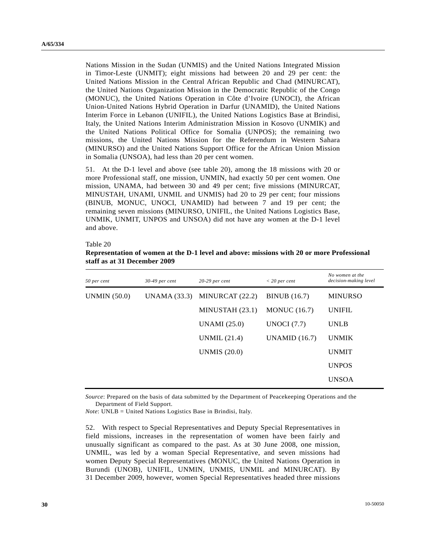Nations Mission in the Sudan (UNMIS) and the United Nations Integrated Mission in Timor-Leste (UNMIT); eight missions had between 20 and 29 per cent: the United Nations Mission in the Central African Republic and Chad (MINURCAT), the United Nations Organization Mission in the Democratic Republic of the Congo (MONUC), the United Nations Operation in Côte d'Ivoire (UNOCI), the African Union-United Nations Hybrid Operation in Darfur (UNAMID), the United Nations Interim Force in Lebanon (UNIFIL), the United Nations Logistics Base at Brindisi, Italy, the United Nations Interim Administration Mission in Kosovo (UNMIK) and the United Nations Political Office for Somalia (UNPOS); the remaining two missions, the United Nations Mission for the Referendum in Western Sahara (MINURSO) and the United Nations Support Office for the African Union Mission in Somalia (UNSOA), had less than 20 per cent women.

51. At the D-1 level and above (see table 20), among the 18 missions with 20 or more Professional staff, one mission, UNMIN, had exactly 50 per cent women. One mission, UNAMA, had between 30 and 49 per cent; five missions (MINURCAT, MINUSTAH, UNAMI, UNMIL and UNMIS) had 20 to 29 per cent; four missions (BINUB, MONUC, UNOCI, UNAMID) had between 7 and 19 per cent; the remaining seven missions (MINURSO, UNIFIL, the United Nations Logistics Base, UNMIK, UNMIT, UNPOS and UNSOA) did not have any women at the D-1 level and above.

#### Table 20

| Representation of women at the D-1 level and above: missions with 20 or more Professional |
|-------------------------------------------------------------------------------------------|
| staff as at 31 December 2009                                                              |

| 50 per cent         | $30-49$ per cent | $20-29$ per cent    | $<$ 20 per cent      | No women at the<br>decision-making level |
|---------------------|------------------|---------------------|----------------------|------------------------------------------|
| <b>UNMIN</b> (50.0) | UNAMA $(33.3)$   | MINURCAT (22.2)     | <b>BINUB</b> (16.7)  | <b>MINURSO</b>                           |
|                     |                  | MINUSTAH $(23.1)$   | <b>MONUC</b> (16.7)  | <b>UNIFIL</b>                            |
|                     |                  | UNAMI (25.0)        | UNOCI $(7.7)$        | <b>UNLB</b>                              |
|                     |                  | UNMIL (21.4)        | <b>UNAMID</b> (16.7) | <b>UNMIK</b>                             |
|                     |                  | <b>UNMIS</b> (20.0) |                      | <b>UNMIT</b>                             |
|                     |                  |                     |                      | <b>UNPOS</b>                             |
|                     |                  |                     |                      | <b>UNSOA</b>                             |

*Source*: Prepared on the basis of data submitted by the Department of Peacekeeping Operations and the Department of Field Support.

*Note*: UNLB = United Nations Logistics Base in Brindisi, Italy.

52. With respect to Special Representatives and Deputy Special Representatives in field missions, increases in the representation of women have been fairly and unusually significant as compared to the past. As at 30 June 2008, one mission, UNMIL, was led by a woman Special Representative, and seven missions had women Deputy Special Representatives (MONUC, the United Nations Operation in Burundi (UNOB), UNIFIL, UNMIN, UNMIS, UNMIL and MINURCAT). By 31 December 2009, however, women Special Representatives headed three missions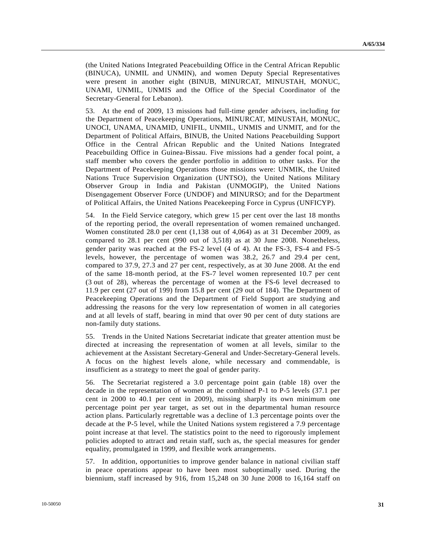(the United Nations Integrated Peacebuilding Office in the Central African Republic (BINUCA), UNMIL and UNMIN), and women Deputy Special Representatives were present in another eight (BINUB, MINURCAT, MINUSTAH, MONUC, UNAMI, UNMIL, UNMIS and the Office of the Special Coordinator of the Secretary-General for Lebanon).

53. At the end of 2009, 13 missions had full-time gender advisers, including for the Department of Peacekeeping Operations, MINURCAT, MINUSTAH, MONUC, UNOCI, UNAMA, UNAMID, UNIFIL, UNMIL, UNMIS and UNMIT, and for the Department of Political Affairs, BINUB, the United Nations Peacebuilding Support Office in the Central African Republic and the United Nations Integrated Peacebuilding Office in Guinea-Bissau. Five missions had a gender focal point, a staff member who covers the gender portfolio in addition to other tasks. For the Department of Peacekeeping Operations those missions were: UNMIK, the United Nations Truce Supervision Organization (UNTSO), the United Nations Military Observer Group in India and Pakistan (UNMOGIP), the United Nations Disengagement Observer Force (UNDOF) and MINURSO; and for the Department of Political Affairs, the United Nations Peacekeeping Force in Cyprus (UNFICYP).

54. In the Field Service category, which grew 15 per cent over the last 18 months of the reporting period, the overall representation of women remained unchanged. Women constituted 28.0 per cent (1,138 out of 4,064) as at 31 December 2009, as compared to 28.1 per cent (990 out of 3,518) as at 30 June 2008. Nonetheless, gender parity was reached at the FS-2 level (4 of 4). At the FS-3, FS-4 and FS-5 levels, however, the percentage of women was 38.2, 26.7 and 29.4 per cent, compared to 37.9, 27.3 and 27 per cent, respectively, as at 30 June 2008. At the end of the same 18-month period, at the FS-7 level women represented 10.7 per cent (3 out of 28), whereas the percentage of women at the FS-6 level decreased to 11.9 per cent (27 out of 199) from 15.8 per cent (29 out of 184). The Department of Peacekeeping Operations and the Department of Field Support are studying and addressing the reasons for the very low representation of women in all categories and at all levels of staff, bearing in mind that over 90 per cent of duty stations are non-family duty stations.

55. Trends in the United Nations Secretariat indicate that greater attention must be directed at increasing the representation of women at all levels, similar to the achievement at the Assistant Secretary-General and Under-Secretary-General levels. A focus on the highest levels alone, while necessary and commendable, is insufficient as a strategy to meet the goal of gender parity.

56. The Secretariat registered a 3.0 percentage point gain (table 18) over the decade in the representation of women at the combined P-1 to P-5 levels (37.1 per cent in 2000 to 40.1 per cent in 2009), missing sharply its own minimum one percentage point per year target, as set out in the departmental human resource action plans. Particularly regrettable was a decline of 1.3 percentage points over the decade at the P-5 level, while the United Nations system registered a 7.9 percentage point increase at that level. The statistics point to the need to rigorously implement policies adopted to attract and retain staff, such as, the special measures for gender equality, promulgated in 1999, and flexible work arrangements.

57. In addition, opportunities to improve gender balance in national civilian staff in peace operations appear to have been most suboptimally used. During the biennium, staff increased by 916, from 15,248 on 30 June 2008 to 16,164 staff on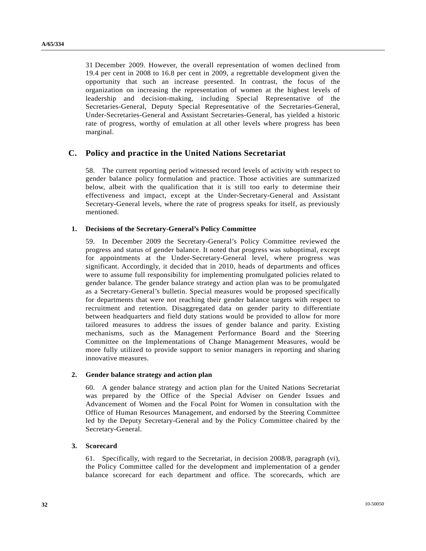31 December 2009. However, the overall representation of women declined from 19.4 per cent in 2008 to 16.8 per cent in 2009, a regrettable development given the opportunity that such an increase presented. In contrast, the focus of the organization on increasing the representation of women at the highest levels of leadership and decision-making, including Special Representative of the Secretaries-General, Deputy Special Representative of the Secretaries-General, Under-Secretaries-General and Assistant Secretaries-General, has yielded a historic rate of progress, worthy of emulation at all other levels where progress has been marginal.

## **C. Policy and practice in the United Nations Secretariat**

58. The current reporting period witnessed record levels of activity with respect to gender balance policy formulation and practice. Those activities are summarized below, albeit with the qualification that it is still too early to determine their effectiveness and impact, except at the Under-Secretary-General and Assistant Secretary-General levels, where the rate of progress speaks for itself, as previously mentioned.

#### **1. Decisions of the Secretary-General's Policy Committee**

59. In December 2009 the Secretary-General's Policy Committee reviewed the progress and status of gender balance. It noted that progress was suboptimal, except for appointments at the Under-Secretary-General level, where progress was significant. Accordingly, it decided that in 2010, heads of departments and offices were to assume full responsibility for implementing promulgated policies related to gender balance. The gender balance strategy and action plan was to be promulgated as a Secretary-General's bulletin. Special measures would be proposed specifically for departments that were not reaching their gender balance targets with respect to recruitment and retention. Disaggregated data on gender parity to differentiate between headquarters and field duty stations would be provided to allow for more tailored measures to address the issues of gender balance and parity. Existing mechanisms, such as the Management Performance Board and the Steering Committee on the Implementations of Change Management Measures, would be more fully utilized to provide support to senior managers in reporting and sharing innovative measures.

### **2. Gender balance strategy and action plan**

60. A gender balance strategy and action plan for the United Nations Secretariat was prepared by the Office of the Special Adviser on Gender Issues and Advancement of Women and the Focal Point for Women in consultation with the Office of Human Resources Management, and endorsed by the Steering Committee led by the Deputy Secretary-General and by the Policy Committee chaired by the Secretary-General.

#### **3. Scorecard**

61. Specifically, with regard to the Secretariat, in decision 2008/8, paragraph (vi), the Policy Committee called for the development and implementation of a gender balance scorecard for each department and office. The scorecards, which are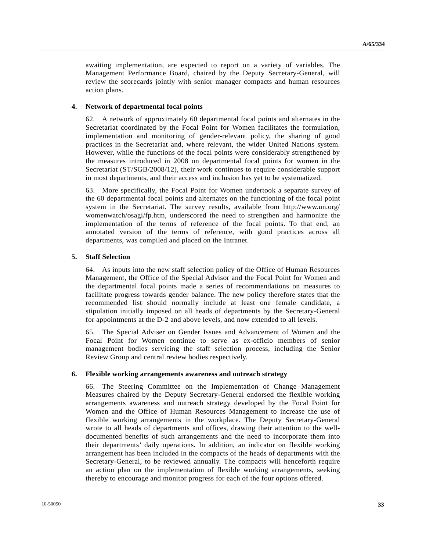awaiting implementation, are expected to report on a variety of variables. The Management Performance Board, chaired by the Deputy Secretary-General, will review the scorecards jointly with senior manager compacts and human resources action plans.

#### **4. Network of departmental focal points**

62. A network of approximately 60 departmental focal points and alternates in the Secretariat coordinated by the Focal Point for Women facilitates the formulation, implementation and monitoring of gender-relevant policy, the sharing of good practices in the Secretariat and, where relevant, the wider United Nations system. However, while the functions of the focal points were considerably strengthened by the measures introduced in 2008 on departmental focal points for women in the Secretariat (ST/SGB/2008/12), their work continues to require considerable support in most departments, and their access and inclusion has yet to be systematized.

63. More specifically, the Focal Point for Women undertook a separate survey of the 60 departmental focal points and alternates on the functioning of the focal point system in the Secretariat. The survey results, available from http://www.un.org/ womenwatch/osagi/fp.htm, underscored the need to strengthen and harmonize the implementation of the terms of reference of the focal points. To that end, an annotated version of the terms of reference, with good practices across all departments, was compiled and placed on the Intranet.

#### **5. Staff Selection**

64. As inputs into the new staff selection policy of the Office of Human Resources Management, the Office of the Special Advisor and the Focal Point for Women and the departmental focal points made a series of recommendations on measures to facilitate progress towards gender balance. The new policy therefore states that the recommended list should normally include at least one female candidate, a stipulation initially imposed on all heads of departments by the Secretary-General for appointments at the D-2 and above levels, and now extended to all levels.

65. The Special Adviser on Gender Issues and Advancement of Women and the Focal Point for Women continue to serve as ex-officio members of senior management bodies servicing the staff selection process, including the Senior Review Group and central review bodies respectively.

#### **6. Flexible working arrangements awareness and outreach strategy**

66. The Steering Committee on the Implementation of Change Management Measures chaired by the Deputy Secretary-General endorsed the flexible working arrangements awareness and outreach strategy developed by the Focal Point for Women and the Office of Human Resources Management to increase the use of flexible working arrangements in the workplace. The Deputy Secretary-General wrote to all heads of departments and offices, drawing their attention to the welldocumented benefits of such arrangements and the need to incorporate them into their departments' daily operations. In addition, an indicator on flexible working arrangement has been included in the compacts of the heads of departments with the Secretary-General, to be reviewed annually. The compacts will henceforth require an action plan on the implementation of flexible working arrangements, seeking thereby to encourage and monitor progress for each of the four options offered.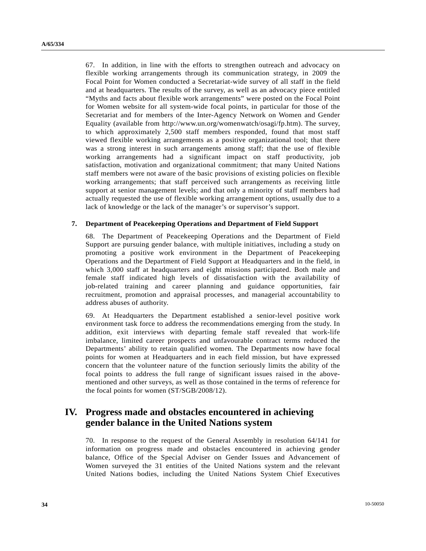67. In addition, in line with the efforts to strengthen outreach and advocacy on flexible working arrangements through its communication strategy, in 2009 the Focal Point for Women conducted a Secretariat-wide survey of all staff in the field and at headquarters. The results of the survey, as well as an advocacy piece entitled "Myths and facts about flexible work arrangements" were posted on the Focal Point for Women website for all system-wide focal points, in particular for those of the Secretariat and for members of the Inter-Agency Network on Women and Gender Equality (available from http://www.un.org/womenwatch/osagi/fp.htm). The survey, to which approximately 2,500 staff members responded, found that most staff viewed flexible working arrangements as a positive organizational tool; that there was a strong interest in such arrangements among staff; that the use of flexible working arrangements had a significant impact on staff productivity, job satisfaction, motivation and organizational commitment; that many United Nations staff members were not aware of the basic provisions of existing policies on flexible working arrangements; that staff perceived such arrangements as receiving little support at senior management levels; and that only a minority of staff members had actually requested the use of flexible working arrangement options, usually due to a lack of knowledge or the lack of the manager's or supervisor's support.

#### **7. Department of Peacekeeping Operations and Department of Field Support**

68. The Department of Peacekeeping Operations and the Department of Field Support are pursuing gender balance, with multiple initiatives, including a study on promoting a positive work environment in the Department of Peacekeeping Operations and the Department of Field Support at Headquarters and in the field, in which 3,000 staff at headquarters and eight missions participated. Both male and female staff indicated high levels of dissatisfaction with the availability of job-related training and career planning and guidance opportunities, fair recruitment, promotion and appraisal processes, and managerial accountability to address abuses of authority.

69. At Headquarters the Department established a senior-level positive work environment task force to address the recommendations emerging from the study. In addition, exit interviews with departing female staff revealed that work-life imbalance, limited career prospects and unfavourable contract terms reduced the Departments' ability to retain qualified women. The Departments now have focal points for women at Headquarters and in each field mission, but have expressed concern that the volunteer nature of the function seriously limits the ability of the focal points to address the full range of significant issues raised in the abovementioned and other surveys, as well as those contained in the terms of reference for the focal points for women (ST/SGB/2008/12).

# **IV. Progress made and obstacles encountered in achieving gender balance in the United Nations system**

70. In response to the request of the General Assembly in resolution 64/141 for information on progress made and obstacles encountered in achieving gender balance, Office of the Special Adviser on Gender Issues and Advancement of Women surveyed the 31 entities of the United Nations system and the relevant United Nations bodies, including the United Nations System Chief Executives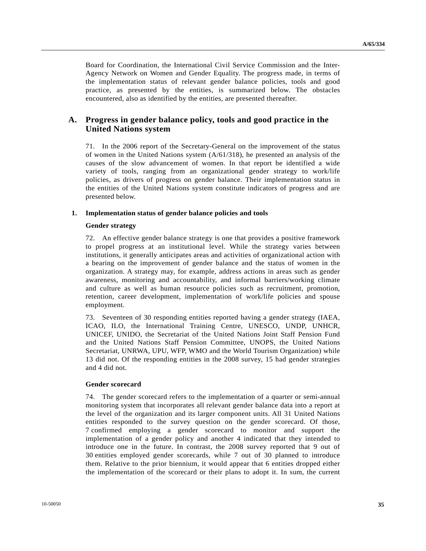Board for Coordination, the International Civil Service Commission and the Inter-Agency Network on Women and Gender Equality. The progress made, in terms of the implementation status of relevant gender balance policies, tools and good practice, as presented by the entities, is summarized below. The obstacles encountered, also as identified by the entities, are presented thereafter.

## **A. Progress in gender balance policy, tools and good practice in the United Nations system**

71. In the 2006 report of the Secretary-General on the improvement of the status of women in the United Nations system (A/61/318), he presented an analysis of the causes of the slow advancement of women. In that report he identified a wide variety of tools, ranging from an organizational gender strategy to work/life policies, as drivers of progress on gender balance. Their implementation status in the entities of the United Nations system constitute indicators of progress and are presented below.

#### **1. Implementation status of gender balance policies and tools**

#### **Gender strategy**

72. An effective gender balance strategy is one that provides a positive framework to propel progress at an institutional level. While the strategy varies between institutions, it generally anticipates areas and activities of organizational action with a bearing on the improvement of gender balance and the status of women in the organization. A strategy may, for example, address actions in areas such as gender awareness, monitoring and accountability, and informal barriers/working climate and culture as well as human resource policies such as recruitment, promotion, retention, career development, implementation of work/life policies and spouse employment.

73. Seventeen of 30 responding entities reported having a gender strategy (IAEA, ICAO, ILO, the International Training Centre, UNESCO, UNDP, UNHCR, UNICEF, UNIDO, the Secretariat of the United Nations Joint Staff Pension Fund and the United Nations Staff Pension Committee, UNOPS, the United Nations Secretariat, UNRWA, UPU, WFP, WMO and the World Tourism Organization) while 13 did not. Of the responding entities in the 2008 survey, 15 had gender strategies and 4 did not.

#### **Gender scorecard**

74. The gender scorecard refers to the implementation of a quarter or semi-annual monitoring system that incorporates all relevant gender balance data into a report at the level of the organization and its larger component units. All 31 United Nations entities responded to the survey question on the gender scorecard. Of those, 7 confirmed employing a gender scorecard to monitor and support the implementation of a gender policy and another 4 indicated that they intended to introduce one in the future. In contrast, the 2008 survey reported that 9 out of 30 entities employed gender scorecards, while 7 out of 30 planned to introduce them. Relative to the prior biennium, it would appear that 6 entities dropped either the implementation of the scorecard or their plans to adopt it. In sum, the current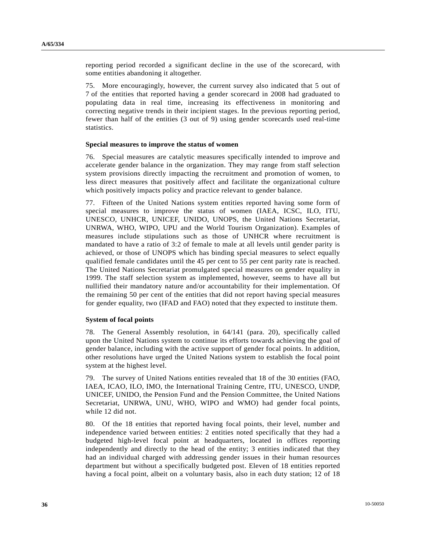reporting period recorded a significant decline in the use of the scorecard, with some entities abandoning it altogether.

75. More encouragingly, however, the current survey also indicated that 5 out of 7 of the entities that reported having a gender scorecard in 2008 had graduated to populating data in real time, increasing its effectiveness in monitoring and correcting negative trends in their incipient stages. In the previous reporting period, fewer than half of the entities (3 out of 9) using gender scorecards used real-time statistics.

#### **Special measures to improve the status of women**

76. Special measures are catalytic measures specifically intended to improve and accelerate gender balance in the organization. They may range from staff selection system provisions directly impacting the recruitment and promotion of women, to less direct measures that positively affect and facilitate the organizational culture which positively impacts policy and practice relevant to gender balance.

77. Fifteen of the United Nations system entities reported having some form of special measures to improve the status of women (IAEA, ICSC, ILO, ITU, UNESCO, UNHCR, UNICEF, UNIDO, UNOPS, the United Nations Secretariat, UNRWA, WHO, WIPO, UPU and the World Tourism Organization). Examples of measures include stipulations such as those of UNHCR where recruitment is mandated to have a ratio of 3:2 of female to male at all levels until gender parity is achieved, or those of UNOPS which has binding special measures to select equally qualified female candidates until the 45 per cent to 55 per cent parity rate is reached. The United Nations Secretariat promulgated special measures on gender equality in 1999. The staff selection system as implemented, however, seems to have all but nullified their mandatory nature and/or accountability for their implementation. Of the remaining 50 per cent of the entities that did not report having special measures for gender equality, two (IFAD and FAO) noted that they expected to institute them.

#### **System of focal points**

78. The General Assembly resolution, in 64/141 (para. 20), specifically called upon the United Nations system to continue its efforts towards achieving the goal of gender balance, including with the active support of gender focal points. In addition, other resolutions have urged the United Nations system to establish the focal point system at the highest level.

79. The survey of United Nations entities revealed that 18 of the 30 entities (FAO, IAEA, ICAO, ILO, IMO, the International Training Centre, ITU, UNESCO, UNDP, UNICEF, UNIDO, the Pension Fund and the Pension Committee, the United Nations Secretariat, UNRWA, UNU, WHO, WIPO and WMO) had gender focal points, while 12 did not.

80. Of the 18 entities that reported having focal points, their level, number and independence varied between entities: 2 entities noted specifically that they had a budgeted high-level focal point at headquarters, located in offices reporting independently and directly to the head of the entity; 3 entities indicated that they had an individual charged with addressing gender issues in their human resources department but without a specifically budgeted post. Eleven of 18 entities reported having a focal point, albeit on a voluntary basis, also in each duty station; 12 of 18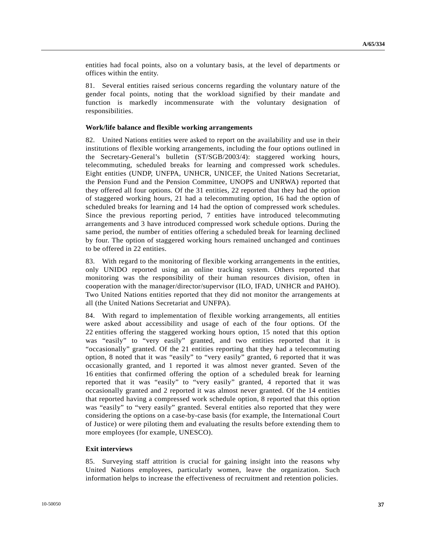entities had focal points, also on a voluntary basis, at the level of departments or offices within the entity.

81. Several entities raised serious concerns regarding the voluntary nature of the gender focal points, noting that the workload signified by their mandate and function is markedly incommensurate with the voluntary designation of responsibilities.

#### **Work/life balance and flexible working arrangements**

82. United Nations entities were asked to report on the availability and use in their institutions of flexible working arrangements, including the four options outlined in the Secretary-General's bulletin (ST/SGB/2003/4): staggered working hours, telecommuting, scheduled breaks for learning and compressed work schedules. Eight entities (UNDP, UNFPA, UNHCR, UNICEF, the United Nations Secretariat, the Pension Fund and the Pension Committee, UNOPS and UNRWA) reported that they offered all four options. Of the 31 entities, 22 reported that they had the option of staggered working hours, 21 had a telecommuting option, 16 had the option of scheduled breaks for learning and 14 had the option of compressed work schedules. Since the previous reporting period, 7 entities have introduced telecommuting arrangements and 3 have introduced compressed work schedule options. During the same period, the number of entities offering a scheduled break for learning declined by four. The option of staggered working hours remained unchanged and continues to be offered in 22 entities.

83. With regard to the monitoring of flexible working arrangements in the entities, only UNIDO reported using an online tracking system. Others reported that monitoring was the responsibility of their human resources division, often in cooperation with the manager/director/supervisor (ILO, IFAD, UNHCR and PAHO). Two United Nations entities reported that they did not monitor the arrangements at all (the United Nations Secretariat and UNFPA).

84. With regard to implementation of flexible working arrangements, all entities were asked about accessibility and usage of each of the four options. Of the 22 entities offering the staggered working hours option, 15 noted that this option was "easily" to "very easily" granted, and two entities reported that it is "occasionally" granted. Of the 21 entities reporting that they had a telecommuting option, 8 noted that it was "easily" to "very easily" granted, 6 reported that it was occasionally granted, and 1 reported it was almost never granted. Seven of the 16 entities that confirmed offering the option of a scheduled break for learning reported that it was "easily" to "very easily" granted, 4 reported that it was occasionally granted and 2 reported it was almost never granted. Of the 14 entities that reported having a compressed work schedule option, 8 reported that this option was "easily" to "very easily" granted. Several entities also reported that they were considering the options on a case-by-case basis (for example, the International Court of Justice) or were piloting them and evaluating the results before extending them to more employees (for example, UNESCO).

#### **Exit interviews**

85. Surveying staff attrition is crucial for gaining insight into the reasons why United Nations employees, particularly women, leave the organization. Such information helps to increase the effectiveness of recruitment and retention policies.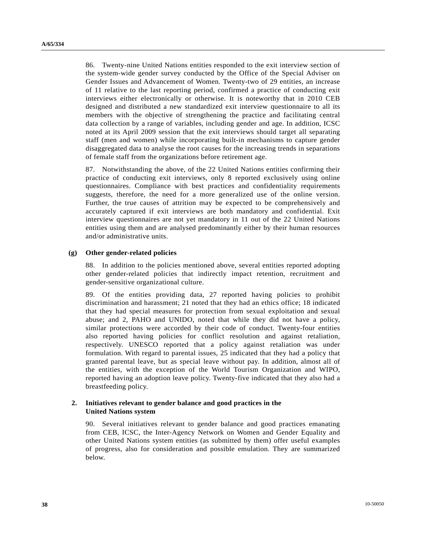86. Twenty-nine United Nations entities responded to the exit interview section of the system-wide gender survey conducted by the Office of the Special Adviser on Gender Issues and Advancement of Women. Twenty-two of 29 entities, an increase of 11 relative to the last reporting period, confirmed a practice of conducting exit interviews either electronically or otherwise. It is noteworthy that in 2010 CEB designed and distributed a new standardized exit interview questionnaire to all its members with the objective of strengthening the practice and facilitating central data collection by a range of variables, including gender and age. In addition, ICSC noted at its April 2009 session that the exit interviews should target all separating staff (men and women) while incorporating built-in mechanisms to capture gender disaggregated data to analyse the root causes for the increasing trends in separations of female staff from the organizations before retirement age.

87. Notwithstanding the above, of the 22 United Nations entities confirming their practice of conducting exit interviews, only 8 reported exclusively using online questionnaires. Compliance with best practices and confidentiality requirements suggests, therefore, the need for a more generalized use of the online version. Further, the true causes of attrition may be expected to be comprehensively and accurately captured if exit interviews are both mandatory and confidential. Exit interview questionnaires are not yet mandatory in 11 out of the 22 United Nations entities using them and are analysed predominantly either by their human resources and/or administrative units.

#### **(g) Other gender-related policies**

88. In addition to the policies mentioned above, several entities reported adopting other gender-related policies that indirectly impact retention, recruitment and gender-sensitive organizational culture.

89. Of the entities providing data, 27 reported having policies to prohibit discrimination and harassment; 21 noted that they had an ethics office; 18 indicated that they had special measures for protection from sexual exploitation and sexual abuse; and 2, PAHO and UNIDO, noted that while they did not have a policy, similar protections were accorded by their code of conduct. Twenty-four entities also reported having policies for conflict resolution and against retaliation, respectively. UNESCO reported that a policy against retaliation was under formulation. With regard to parental issues, 25 indicated that they had a policy that granted parental leave, but as special leave without pay. In addition, almost all of the entities, with the exception of the World Tourism Organization and WIPO, reported having an adoption leave policy. Twenty-five indicated that they also had a breastfeeding policy.

#### **2. Initiatives relevant to gender balance and good practices in the United Nations system**

90. Several initiatives relevant to gender balance and good practices emanating from CEB, ICSC, the Inter-Agency Network on Women and Gender Equality and other United Nations system entities (as submitted by them) offer useful examples of progress, also for consideration and possible emulation. They are summarized below.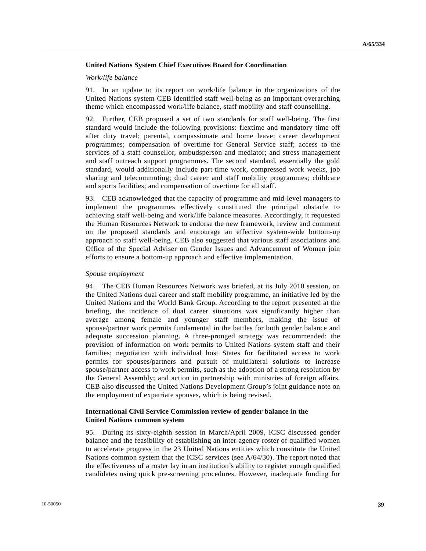### **United Nations System Chief Executives Board for Coordination**

#### *Work/life balance*

91. In an update to its report on work/life balance in the organizations of the United Nations system CEB identified staff well-being as an important overarching theme which encompassed work/life balance, staff mobility and staff counselling.

92. Further, CEB proposed a set of two standards for staff well-being. The first standard would include the following provisions: flextime and mandatory time off after duty travel; parental, compassionate and home leave; career development programmes; compensation of overtime for General Service staff; access to the services of a staff counsellor, ombudsperson and mediator; and stress management and staff outreach support programmes. The second standard, essentially the gold standard, would additionally include part-time work, compressed work weeks, job sharing and telecommuting; dual career and staff mobility programmes; childcare and sports facilities; and compensation of overtime for all staff.

93. CEB acknowledged that the capacity of programme and mid-level managers to implement the programmes effectively constituted the principal obstacle to achieving staff well-being and work/life balance measures. Accordingly, it requested the Human Resources Network to endorse the new framework, review and comment on the proposed standards and encourage an effective system-wide bottom-up approach to staff well-being. CEB also suggested that various staff associations and Office of the Special Adviser on Gender Issues and Advancement of Women join efforts to ensure a bottom-up approach and effective implementation.

#### *Spouse employment*

94. The CEB Human Resources Network was briefed, at its July 2010 session, on the United Nations dual career and staff mobility programme, an initiative led by the United Nations and the World Bank Group. According to the report presented at the briefing, the incidence of dual career situations was significantly higher than average among female and younger staff members, making the issue of spouse/partner work permits fundamental in the battles for both gender balance and adequate succession planning. A three-pronged strategy was recommended: the provision of information on work permits to United Nations system staff and their families; negotiation with individual host States for facilitated access to work permits for spouses/partners and pursuit of multilateral solutions to increase spouse/partner access to work permits, such as the adoption of a strong resolution by the General Assembly; and action in partnership with ministries of foreign affairs. CEB also discussed the United Nations Development Group's joint guidance note on the employment of expatriate spouses, which is being revised.

#### **International Civil Service Commission review of gender balance in the United Nations common system**

95. During its sixty-eighth session in March/April 2009, ICSC discussed gender balance and the feasibility of establishing an inter-agency roster of qualified women to accelerate progress in the 23 United Nations entities which constitute the United Nations common system that the ICSC services (see A/64/30). The report noted that the effectiveness of a roster lay in an institution's ability to register enough qualified candidates using quick pre-screening procedures. However, inadequate funding for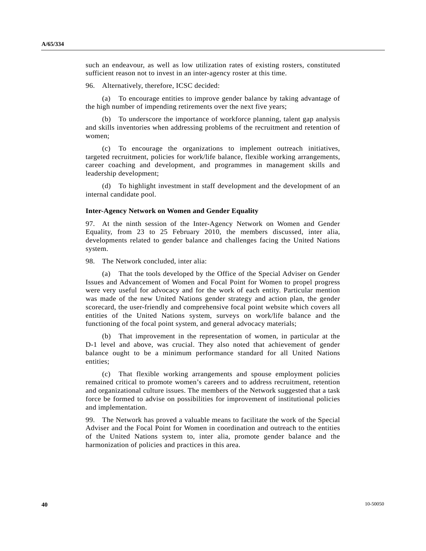such an endeavour, as well as low utilization rates of existing rosters, constituted sufficient reason not to invest in an inter-agency roster at this time.

96. Alternatively, therefore, ICSC decided:

 (a) To encourage entities to improve gender balance by taking advantage of the high number of impending retirements over the next five years;

 (b) To underscore the importance of workforce planning, talent gap analysis and skills inventories when addressing problems of the recruitment and retention of women;

 (c) To encourage the organizations to implement outreach initiatives, targeted recruitment, policies for work/life balance, flexible working arrangements, career coaching and development, and programmes in management skills and leadership development;

 (d) To highlight investment in staff development and the development of an internal candidate pool.

#### **Inter-Agency Network on Women and Gender Equality**

97. At the ninth session of the Inter-Agency Network on Women and Gender Equality, from 23 to 25 February 2010, the members discussed, inter alia, developments related to gender balance and challenges facing the United Nations system.

98. The Network concluded, inter alia:

 (a) That the tools developed by the Office of the Special Adviser on Gender Issues and Advancement of Women and Focal Point for Women to propel progress were very useful for advocacy and for the work of each entity. Particular mention was made of the new United Nations gender strategy and action plan, the gender scorecard, the user-friendly and comprehensive focal point website which covers all entities of the United Nations system, surveys on work/life balance and the functioning of the focal point system, and general advocacy materials;

 (b) That improvement in the representation of women, in particular at the D-1 level and above, was crucial. They also noted that achievement of gender balance ought to be a minimum performance standard for all United Nations entities;

 (c) That flexible working arrangements and spouse employment policies remained critical to promote women's careers and to address recruitment, retention and organizational culture issues. The members of the Network suggested that a task force be formed to advise on possibilities for improvement of institutional policies and implementation.

99. The Network has proved a valuable means to facilitate the work of the Special Adviser and the Focal Point for Women in coordination and outreach to the entities of the United Nations system to, inter alia, promote gender balance and the harmonization of policies and practices in this area.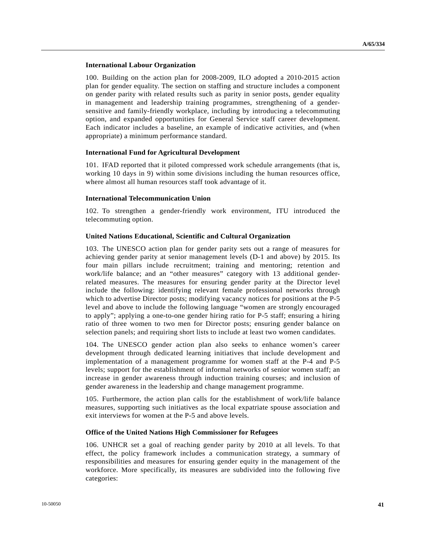#### **International Labour Organization**

100. Building on the action plan for 2008-2009, ILO adopted a 2010-2015 action plan for gender equality. The section on staffing and structure includes a component on gender parity with related results such as parity in senior posts, gender equality in management and leadership training programmes, strengthening of a gendersensitive and family-friendly workplace, including by introducing a telecommuting option, and expanded opportunities for General Service staff career development. Each indicator includes a baseline, an example of indicative activities, and (when appropriate) a minimum performance standard.

#### **International Fund for Agricultural Development**

101. IFAD reported that it piloted compressed work schedule arrangements (that is, working 10 days in 9) within some divisions including the human resources office, where almost all human resources staff took advantage of it.

#### **International Telecommunication Union**

102. To strengthen a gender-friendly work environment, ITU introduced the telecommuting option.

#### **United Nations Educational, Scientific and Cultural Organization**

103. The UNESCO action plan for gender parity sets out a range of measures for achieving gender parity at senior management levels (D-1 and above) by 2015. Its four main pillars include recruitment; training and mentoring; retention and work/life balance; and an "other measures" category with 13 additional genderrelated measures. The measures for ensuring gender parity at the Director level include the following: identifying relevant female professional networks through which to advertise Director posts; modifying vacancy notices for positions at the P-5 level and above to include the following language "women are strongly encouraged to apply"; applying a one-to-one gender hiring ratio for P-5 staff; ensuring a hiring ratio of three women to two men for Director posts; ensuring gender balance on selection panels; and requiring short lists to include at least two women candidates.

104. The UNESCO gender action plan also seeks to enhance women's career development through dedicated learning initiatives that include development and implementation of a management programme for women staff at the P-4 and P-5 levels; support for the establishment of informal networks of senior women staff; an increase in gender awareness through induction training courses; and inclusion of gender awareness in the leadership and change management programme.

105. Furthermore, the action plan calls for the establishment of work/life balance measures, supporting such initiatives as the local expatriate spouse association and exit interviews for women at the P-5 and above levels.

#### **Office of the United Nations High Commissioner for Refugees**

106. UNHCR set a goal of reaching gender parity by 2010 at all levels. To that effect, the policy framework includes a communication strategy, a summary of responsibilities and measures for ensuring gender equity in the management of the workforce. More specifically, its measures are subdivided into the following five categories: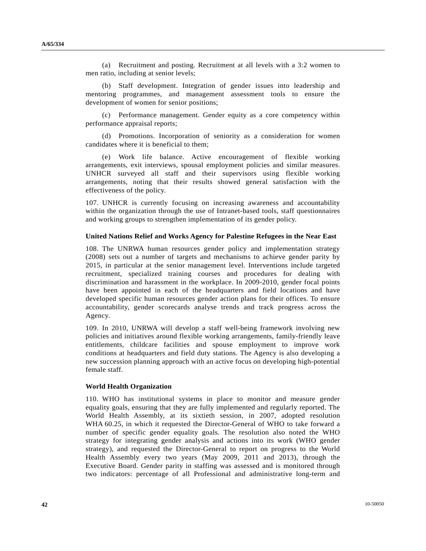(a) Recruitment and posting. Recruitment at all levels with a 3:2 women to men ratio, including at senior levels;

 (b) Staff development. Integration of gender issues into leadership and mentoring programmes, and management assessment tools to ensure the development of women for senior positions;

Performance management. Gender equity as a core competency within performance appraisal reports;

 (d) Promotions. Incorporation of seniority as a consideration for women candidates where it is beneficial to them;

 (e) Work life balance. Active encouragement of flexible working arrangements, exit interviews, spousal employment policies and similar measures. UNHCR surveyed all staff and their supervisors using flexible working arrangements, noting that their results showed general satisfaction with the effectiveness of the policy.

107. UNHCR is currently focusing on increasing awareness and accountability within the organization through the use of Intranet-based tools, staff questionnaires and working groups to strengthen implementation of its gender policy.

#### **United Nations Relief and Works Agency for Palestine Refugees in the Near East**

108. The UNRWA human resources gender policy and implementation strategy (2008) sets out a number of targets and mechanisms to achieve gender parity by 2015, in particular at the senior management level. Interventions include targeted recruitment, specialized training courses and procedures for dealing with discrimination and harassment in the workplace. In 2009-2010, gender focal points have been appointed in each of the headquarters and field locations and have developed specific human resources gender action plans for their offices. To ensure accountability, gender scorecards analyse trends and track progress across the Agency.

109. In 2010, UNRWA will develop a staff well-being framework involving new policies and initiatives around flexible working arrangements, family-friendly leave entitlements, childcare facilities and spouse employment to improve work conditions at headquarters and field duty stations. The Agency is also developing a new succession planning approach with an active focus on developing high-potential female staff.

#### **World Health Organization**

110. WHO has institutional systems in place to monitor and measure gender equality goals, ensuring that they are fully implemented and regularly reported. The World Health Assembly, at its sixtieth session, in 2007, adopted resolution WHA 60.25, in which it requested the Director-General of WHO to take forward a number of specific gender equality goals. The resolution also noted the WHO strategy for integrating gender analysis and actions into its work (WHO gender strategy), and requested the Director-General to report on progress to the World Health Assembly every two years (May 2009, 2011 and 2013), through the Executive Board. Gender parity in staffing was assessed and is monitored through two indicators: percentage of all Professional and administrative long-term and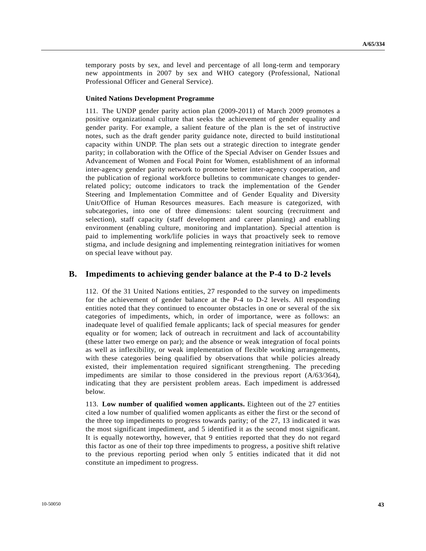temporary posts by sex, and level and percentage of all long-term and temporary new appointments in 2007 by sex and WHO category (Professional, National Professional Officer and General Service).

#### **United Nations Development Programme**

111. The UNDP gender parity action plan (2009-2011) of March 2009 promotes a positive organizational culture that seeks the achievement of gender equality and gender parity. For example, a salient feature of the plan is the set of instructive notes, such as the draft gender parity guidance note, directed to build institutional capacity within UNDP. The plan sets out a strategic direction to integrate gender parity; in collaboration with the Office of the Special Adviser on Gender Issues and Advancement of Women and Focal Point for Women, establishment of an informal inter-agency gender parity network to promote better inter-agency cooperation, and the publication of regional workforce bulletins to communicate changes to genderrelated policy; outcome indicators to track the implementation of the Gender Steering and Implementation Committee and of Gender Equality and Diversity Unit/Office of Human Resources measures. Each measure is categorized, with subcategories, into one of three dimensions: talent sourcing (recruitment and selection), staff capacity (staff development and career planning) and enabling environment (enabling culture, monitoring and implantation). Special attention is paid to implementing work/life policies in ways that proactively seek to remove stigma, and include designing and implementing reintegration initiatives for women on special leave without pay.

## **B. Impediments to achieving gender balance at the P-4 to D-2 levels**

112. Of the 31 United Nations entities, 27 responded to the survey on impediments for the achievement of gender balance at the P-4 to D-2 levels. All responding entities noted that they continued to encounter obstacles in one or several of the six categories of impediments, which, in order of importance, were as follows: an inadequate level of qualified female applicants; lack of special measures for gender equality or for women; lack of outreach in recruitment and lack of accountability (these latter two emerge on par); and the absence or weak integration of focal points as well as inflexibility, or weak implementation of flexible working arrangements, with these categories being qualified by observations that while policies already existed, their implementation required significant strengthening. The preceding impediments are similar to those considered in the previous report (A/63/364), indicating that they are persistent problem areas. Each impediment is addressed below.

113. **Low number of qualified women applicants.** Eighteen out of the 27 entities cited a low number of qualified women applicants as either the first or the second of the three top impediments to progress towards parity; of the 27, 13 indicated it was the most significant impediment, and 5 identified it as the second most significant. It is equally noteworthy, however, that 9 entities reported that they do not regard this factor as one of their top three impediments to progress, a positive shift relative to the previous reporting period when only 5 entities indicated that it did not constitute an impediment to progress.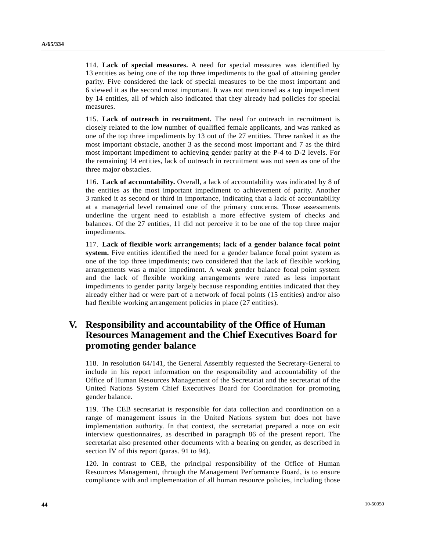114. **Lack of special measures.** A need for special measures was identified by 13 entities as being one of the top three impediments to the goal of attaining gender parity. Five considered the lack of special measures to be the most important and 6 viewed it as the second most important. It was not mentioned as a top impediment by 14 entities, all of which also indicated that they already had policies for special measures.

115. **Lack of outreach in recruitment.** The need for outreach in recruitment is closely related to the low number of qualified female applicants, and was ranked as one of the top three impediments by 13 out of the 27 entities. Three ranked it as the most important obstacle, another 3 as the second most important and 7 as the third most important impediment to achieving gender parity at the P-4 to D-2 levels. For the remaining 14 entities, lack of outreach in recruitment was not seen as one of the three major obstacles.

116. **Lack of accountability.** Overall, a lack of accountability was indicated by 8 of the entities as the most important impediment to achievement of parity. Another 3 ranked it as second or third in importance, indicating that a lack of accountability at a managerial level remained one of the primary concerns. Those assessments underline the urgent need to establish a more effective system of checks and balances. Of the 27 entities, 11 did not perceive it to be one of the top three major impediments.

117. **Lack of flexible work arrangements; lack of a gender balance focal point system.** Five entities identified the need for a gender balance focal point system as one of the top three impediments; two considered that the lack of flexible working arrangements was a major impediment. A weak gender balance focal point system and the lack of flexible working arrangements were rated as less important impediments to gender parity largely because responding entities indicated that they already either had or were part of a network of focal points (15 entities) and/or also had flexible working arrangement policies in place (27 entities).

# **V. Responsibility and accountability of the Office of Human Resources Management and the Chief Executives Board for promoting gender balance**

118. In resolution 64/141, the General Assembly requested the Secretary-General to include in his report information on the responsibility and accountability of the Office of Human Resources Management of the Secretariat and the secretariat of the United Nations System Chief Executives Board for Coordination for promoting gender balance.

119. The CEB secretariat is responsible for data collection and coordination on a range of management issues in the United Nations system but does not have implementation authority. In that context, the secretariat prepared a note on exit interview questionnaires, as described in paragraph 86 of the present report. The secretariat also presented other documents with a bearing on gender, as described in section IV of this report (paras. 91 to 94).

120. In contrast to CEB, the principal responsibility of the Office of Human Resources Management, through the Management Performance Board, is to ensure compliance with and implementation of all human resource policies, including those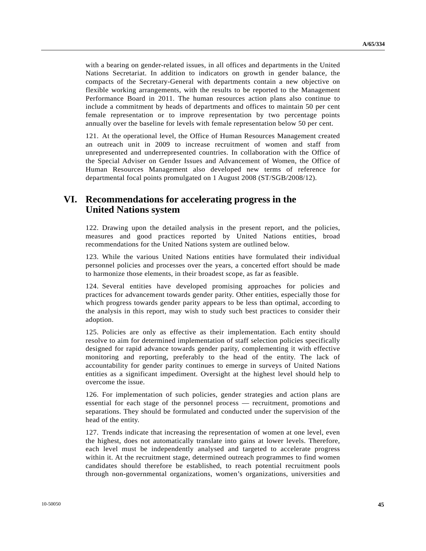with a bearing on gender-related issues, in all offices and departments in the United Nations Secretariat. In addition to indicators on growth in gender balance, the compacts of the Secretary-General with departments contain a new objective on flexible working arrangements, with the results to be reported to the Management Performance Board in 2011. The human resources action plans also continue to include a commitment by heads of departments and offices to maintain 50 per cent female representation or to improve representation by two percentage points annually over the baseline for levels with female representation below 50 per cent.

121. At the operational level, the Office of Human Resources Management created an outreach unit in 2009 to increase recruitment of women and staff from unrepresented and underrepresented countries. In collaboration with the Office of the Special Adviser on Gender Issues and Advancement of Women, the Office of Human Resources Management also developed new terms of reference for departmental focal points promulgated on 1 August 2008 (ST/SGB/2008/12).

# **VI. Recommendations for accelerating progress in the United Nations system**

122. Drawing upon the detailed analysis in the present report, and the policies, measures and good practices reported by United Nations entities, broad recommendations for the United Nations system are outlined below.

123. While the various United Nations entities have formulated their individual personnel policies and processes over the years, a concerted effort should be made to harmonize those elements, in their broadest scope, as far as feasible.

124. Several entities have developed promising approaches for policies and practices for advancement towards gender parity. Other entities, especially those for which progress towards gender parity appears to be less than optimal, according to the analysis in this report, may wish to study such best practices to consider their adoption.

125. Policies are only as effective as their implementation. Each entity should resolve to aim for determined implementation of staff selection policies specifically designed for rapid advance towards gender parity, complementing it with effective monitoring and reporting, preferably to the head of the entity. The lack of accountability for gender parity continues to emerge in surveys of United Nations entities as a significant impediment. Oversight at the highest level should help to overcome the issue.

126. For implementation of such policies, gender strategies and action plans are essential for each stage of the personnel process — recruitment, promotions and separations. They should be formulated and conducted under the supervision of the head of the entity.

127. Trends indicate that increasing the representation of women at one level, even the highest, does not automatically translate into gains at lower levels. Therefore, each level must be independently analysed and targeted to accelerate progress within it. At the recruitment stage, determined outreach programmes to find women candidates should therefore be established, to reach potential recruitment pools through non-governmental organizations, women's organizations, universities and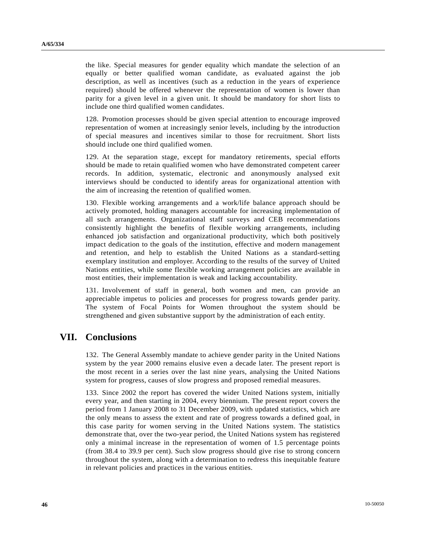the like. Special measures for gender equality which mandate the selection of an equally or better qualified woman candidate, as evaluated against the job description, as well as incentives (such as a reduction in the years of experience required) should be offered whenever the representation of women is lower than parity for a given level in a given unit. It should be mandatory for short lists to include one third qualified women candidates.

128. Promotion processes should be given special attention to encourage improved representation of women at increasingly senior levels, including by the introduction of special measures and incentives similar to those for recruitment. Short lists should include one third qualified women.

129. At the separation stage, except for mandatory retirements, special efforts should be made to retain qualified women who have demonstrated competent career records. In addition, systematic, electronic and anonymously analysed exit interviews should be conducted to identify areas for organizational attention with the aim of increasing the retention of qualified women.

130. Flexible working arrangements and a work/life balance approach should be actively promoted, holding managers accountable for increasing implementation of all such arrangements. Organizational staff surveys and CEB recommendations consistently highlight the benefits of flexible working arrangements, including enhanced job satisfaction and organizational productivity, which both positively impact dedication to the goals of the institution, effective and modern management and retention, and help to establish the United Nations as a standard-setting exemplary institution and employer. According to the results of the survey of United Nations entities, while some flexible working arrangement policies are available in most entities, their implementation is weak and lacking accountability.

131. Involvement of staff in general, both women and men, can provide an appreciable impetus to policies and processes for progress towards gender parity. The system of Focal Points for Women throughout the system should be strengthened and given substantive support by the administration of each entity.

# **VII. Conclusions**

132. The General Assembly mandate to achieve gender parity in the United Nations system by the year 2000 remains elusive even a decade later. The present report is the most recent in a series over the last nine years, analysing the United Nations system for progress, causes of slow progress and proposed remedial measures.

133. Since 2002 the report has covered the wider United Nations system, initially every year, and then starting in 2004, every biennium. The present report covers the period from 1 January 2008 to 31 December 2009, with updated statistics, which are the only means to assess the extent and rate of progress towards a defined goal, in this case parity for women serving in the United Nations system. The statistics demonstrate that, over the two-year period, the United Nations system has registered only a minimal increase in the representation of women of 1.5 percentage points (from 38.4 to 39.9 per cent). Such slow progress should give rise to strong concern throughout the system, along with a determination to redress this inequitable feature in relevant policies and practices in the various entities.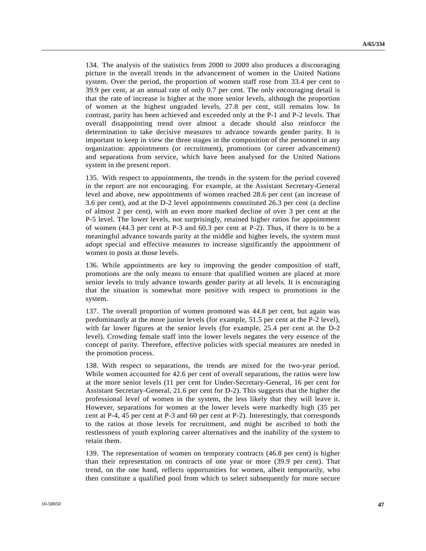134. The analysis of the statistics from 2000 to 2009 also produces a discouraging picture in the overall trends in the advancement of women in the United Nations system. Over the period, the proportion of women staff rose from 33.4 per cent to 39.9 per cent, at an annual rate of only 0.7 per cent. The only encouraging detail is that the rate of increase is higher at the more senior levels, although the proportion of women at the highest ungraded levels, 27.8 per cent, still remains low. In contrast, parity has been achieved and exceeded only at the P-1 and P-2 levels. That overall disappointing trend over almost a decade should also reinforce the determination to take decisive measures to advance towards gender parity. It is important to keep in view the three stages in the composition of the personnel in any organization: appointments (or recruitment), promotions (or career advancement) and separations from service, which have been analysed for the United Nations system in the present report.

135. With respect to appointments, the trends in the system for the period covered in the report are not encouraging. For example, at the Assistant Secretary-General level and above, new appointments of women reached 28.6 per cent (an increase of 3.6 per cent), and at the D-2 level appointments constituted 26.3 per cent (a decline of almost 2 per cent), with an even more marked decline of over 3 per cent at the P-5 level. The lower levels, not surprisingly, retained higher ratios for appointment of women (44.3 per cent at P-3 and 60.3 per cent at P-2). Thus, if there is to be a meaningful advance towards parity at the middle and higher levels, the system must adopt special and effective measures to increase significantly the appointment of women to posts at those levels.

136. While appointments are key to improving the gender composition of staff, promotions are the only means to ensure that qualified women are placed at more senior levels to truly advance towards gender parity at all levels. It is encouraging that the situation is somewhat more positive with respect to promotions in the system.

137. The overall proportion of women promoted was 44.8 per cent, but again was predominantly at the more junior levels (for example, 51.5 per cent at the P-2 level), with far lower figures at the senior levels (for example, 25.4 per cent at the D-2 level). Crowding female staff into the lower levels negates the very essence of the concept of parity. Therefore, effective policies with special measures are needed in the promotion process.

138. With respect to separations, the trends are mixed for the two-year period. While women accounted for 42.6 per cent of overall separations, the ratios were low at the more senior levels (11 per cent for Under-Secretary-General, 16 per cent for Assistant Secretary-General, 21.6 per cent for D-2). This suggests that the higher the professional level of women in the system, the less likely that they will leave it. However, separations for women at the lower levels were markedly high (35 per cent at P-4, 45 per cent at P-3 and 60 per cent at P-2). Interestingly, that corresponds to the ratios at those levels for recruitment, and might be ascribed to both the restlessness of youth exploring career alternatives and the inability of the system to retain them.

139. The representation of women on temporary contracts (46.8 per cent) is higher than their representation on contracts of one year or more (39.9 per cent). That trend, on the one hand, reflects opportunities for women, albeit temporarily, who then constitute a qualified pool from which to select subsequently for more secure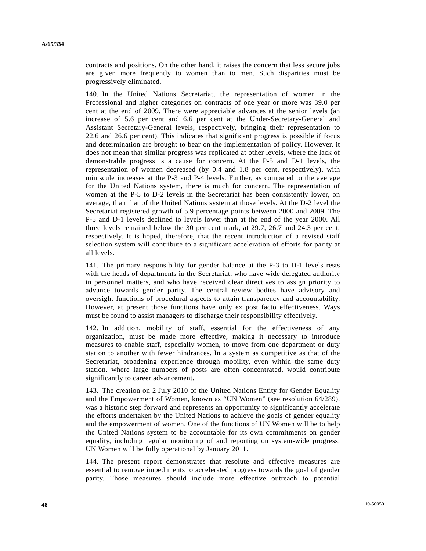contracts and positions. On the other hand, it raises the concern that less secure jobs are given more frequently to women than to men. Such disparities must be progressively eliminated.

140. In the United Nations Secretariat, the representation of women in the Professional and higher categories on contracts of one year or more was 39.0 per cent at the end of 2009. There were appreciable advances at the senior levels (an increase of 5.6 per cent and 6.6 per cent at the Under-Secretary-General and Assistant Secretary-General levels, respectively, bringing their representation to 22.6 and 26.6 per cent). This indicates that significant progress is possible if focus and determination are brought to bear on the implementation of policy. However, it does not mean that similar progress was replicated at other levels, where the lack of demonstrable progress is a cause for concern. At the P-5 and D-1 levels, the representation of women decreased (by 0.4 and 1.8 per cent, respectively), with miniscule increases at the P-3 and P-4 levels. Further, as compared to the average for the United Nations system, there is much for concern. The representation of women at the P-5 to D-2 levels in the Secretariat has been consistently lower, on average, than that of the United Nations system at those levels. At the D-2 level the Secretariat registered growth of 5.9 percentage points between 2000 and 2009. The P-5 and D-1 levels declined to levels lower than at the end of the year 2000. All three levels remained below the 30 per cent mark, at 29.7, 26.7 and 24.3 per cent, respectively. It is hoped, therefore, that the recent introduction of a revised staff selection system will contribute to a significant acceleration of efforts for parity at all levels.

141. The primary responsibility for gender balance at the P-3 to D-1 levels rests with the heads of departments in the Secretariat, who have wide delegated authority in personnel matters, and who have received clear directives to assign priority to advance towards gender parity. The central review bodies have advisory and oversight functions of procedural aspects to attain transparency and accountability. However, at present those functions have only ex post facto effectiveness. Ways must be found to assist managers to discharge their responsibility effectively.

142. In addition, mobility of staff, essential for the effectiveness of any organization, must be made more effective, making it necessary to introduce measures to enable staff, especially women, to move from one department or duty station to another with fewer hindrances. In a system as competitive as that of the Secretariat, broadening experience through mobility, even within the same duty station, where large numbers of posts are often concentrated, would contribute significantly to career advancement.

143. The creation on 2 July 2010 of the United Nations Entity for Gender Equality and the Empowerment of Women, known as "UN Women" (see resolution 64/289), was a historic step forward and represents an opportunity to significantly accelerate the efforts undertaken by the United Nations to achieve the goals of gender equality and the empowerment of women. One of the functions of UN Women will be to help the United Nations system to be accountable for its own commitments on gender equality, including regular monitoring of and reporting on system-wide progress. UN Women will be fully operational by January 2011.

144. The present report demonstrates that resolute and effective measures are essential to remove impediments to accelerated progress towards the goal of gender parity. Those measures should include more effective outreach to potential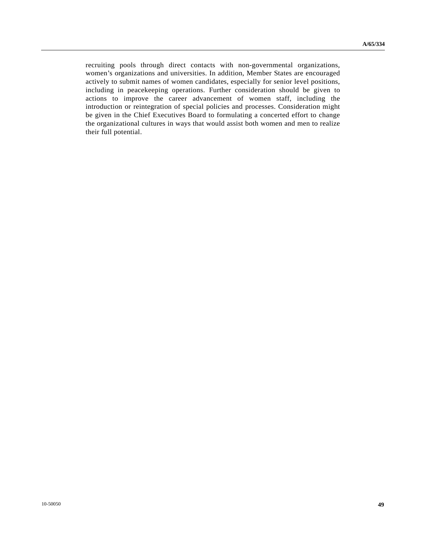recruiting pools through direct contacts with non-governmental organizations, women's organizations and universities. In addition, Member States are encouraged actively to submit names of women candidates, especially for senior level positions, including in peacekeeping operations. Further consideration should be given to actions to improve the career advancement of women staff, including the introduction or reintegration of special policies and processes. Consideration might be given in the Chief Executives Board to formulating a concerted effort to change the organizational cultures in ways that would assist both women and men to realize their full potential.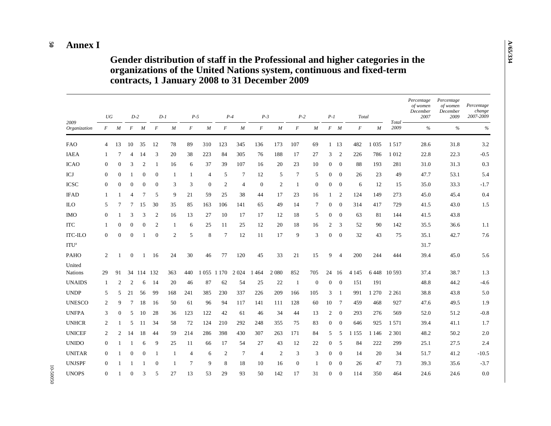#### **50 Annex I**

10-50050

 **Gender distribution of staff in the Professional and higher categories in the organizations of the United Nations system, continuous and fixed-term contracts, 1 January 2008 to 31 December 2009** 

|                          | UG               |                |                  | $D-2$          |                | $D-1$            |                  | $P-5$          |                  | $P-4$           | $P-3$            |              | $P-2$          |                  | $P-1$          |                 | Total            |         |                 | Percentage<br>of women<br>December<br>2007 | Percentage<br>of women<br>December<br>2009 | Percentage<br>change<br>2007-2009 |
|--------------------------|------------------|----------------|------------------|----------------|----------------|------------------|------------------|----------------|------------------|-----------------|------------------|--------------|----------------|------------------|----------------|-----------------|------------------|---------|-----------------|--------------------------------------------|--------------------------------------------|-----------------------------------|
| 2009<br>Organization     | $\boldsymbol{F}$ | M              | $\boldsymbol{F}$ | M              | $\overline{F}$ | $\boldsymbol{M}$ | $\boldsymbol{F}$ | M              | $\boldsymbol{F}$ | M               | $\boldsymbol{F}$ | M            | $\overline{F}$ | $\boldsymbol{M}$ |                | $F$ $M$         | $\boldsymbol{F}$ | M       | Total -<br>2009 | $\%$                                       | $\%$                                       | $\%$                              |
| <b>FAO</b>               | 4                | 13             | 10               | 35             | 12             | 78               | 89               | 310            | 123              | 345             | 136              | 173          | 107            | 69               |                | 1 13            | 482              | 1 0 3 5 | 1517            | 28.6                                       | 31.8                                       | 3.2                               |
| <b>IAEA</b>              | 1                | 7              | 4                | 14             | 3              | 20               | 38               | 223            | 84               | 305             | 76               | 188          | 17             | 27               | 3              | 2               | 226              | 786     | 1012            | 22.8                                       | 22.3                                       | $-0.5$                            |
| <b>ICAO</b>              | $\mathbf{0}$     | $\Omega$       | 3                | $\overline{2}$ | 1              | 16               | 6                | 37             | 39               | 107             | 16               | 20           | 23             | 10               | $\overline{0}$ | $\theta$        | 88               | 193     | 281             | 31.0                                       | 31.3                                       | 0.3                               |
| ICJ                      | $\overline{0}$   | $\overline{0}$ | 1                | $\mathbf{0}$   | $\theta$       | 1                | $\mathbf{1}$     | $\overline{4}$ | 5                | $\tau$          | 12               | 5            | 7              | 5                | $\overline{0}$ | $\mathbf{0}$    | 26               | 23      | 49              | 47.7                                       | 53.1                                       | 5.4                               |
| <b>ICSC</b>              | $\mathbf{0}$     | $\Omega$       | $\mathbf{0}$     | $\theta$       | $\overline{0}$ | 3                | 3                | $\mathbf{0}$   | $\overline{c}$   | $\overline{4}$  | $\theta$         | 2            | 1              | $\mathbf{0}$     | 0              | $\overline{0}$  | 6                | 12      | 15              | 35.0                                       | 33.3                                       | $-1.7$                            |
| <b>IFAD</b>              | $\overline{1}$   |                | $\overline{4}$   | $\overline{7}$ | 5              | 9                | 21               | 59             | 25               | 38              | 44               | 17           | 23             | 16               | 1              | 2               | 124              | 149     | 273             | 45.0                                       | 45.4                                       | 0.4                               |
| <b>ILO</b>               | 5                | 7              | 7                | 15             | 30             | 35               | 85               | 163            | 106              | 141             | 65               | 49           | 14             | $7\phantom{.0}$  | $\overline{0}$ | $\mathbf{0}$    | 314              | 417     | 729             | 41.5                                       | 43.0                                       | 1.5                               |
| <b>IMO</b>               | $\mathbf{0}$     |                | 3                | 3              | $\overline{c}$ | 16               | 13               | 27             | 10               | 17              | 17               | 12           | 18             | 5                | $\overline{0}$ | $\mathbf{0}$    | 63               | 81      | 144             | 41.5                                       | 43.8                                       |                                   |
| <b>ITC</b>               | $\mathbf{1}$     | $\Omega$       | $\mathbf{0}$     | $\mathbf{0}$   | $\overline{c}$ | $\mathbf{1}$     | 6                | 25             | 11               | 25              | 12               | 20           | 18             | 16               | 2              | 3               | 52               | 90      | 142             | 35.5                                       | 36.6                                       | 1.1                               |
| <b>ITC-ILO</b>           | $\mathbf{0}$     | $\theta$       | $\mathbf{0}$     |                | $\theta$       | 2                | 5                | 8              | $7\phantom{.0}$  | 12              | 11               | 17           | 9              | 3                | $\overline{0}$ | $\theta$        | 32               | 43      | 75              | 35.1                                       | 42.7                                       | 7.6                               |
| ITU <sup>a</sup>         |                  |                |                  |                |                |                  |                  |                |                  |                 |                  |              |                |                  |                |                 |                  |         |                 | 31.7                                       |                                            |                                   |
| <b>PAHO</b>              | 2                |                | $\theta$         | 1              | 16             | 24               | 30               | 46             | 77               | 120             | 45               | 33           | 21             | 15               | 9              | $\overline{4}$  | 200              | 244     | 444             | 39.4                                       | 45.0                                       | 5.6                               |
| United<br><b>Nations</b> | 29               | 91             | 34               | 114            | 132            | 363              | 440              | 1 0 5 5 1      | 170              | 2 0 2 4         | 464              | 2 0 8 0      | 852            | 705              | 24             | 16              | 4 1 4 5          | 6448    | 10 5 93         | 37.4                                       | 38.7                                       | 1.3                               |
| <b>UNAIDS</b>            | -1               | 2              | 2                | 6              | 14             | 20               | 46               | 87             | 62               | 54              | 25               | 22           | -1             | $\mathbf{0}$     | $\overline{0}$ | $\mathbf{0}$    | 151              | 191     |                 | 48.8                                       | 44.2                                       | $-4.6$                            |
| <b>UNDP</b>              | 5                | 5              | 21               | 56             | 99             | 168              | 241              | 385            | 230              | 337             | 226              | 209          | 166            | 105              | 3              | -1              | 991              | 1 2 7 0 | 2 2 6 1         | 38.8                                       | 43.8                                       | 5.0                               |
| <b>UNESCO</b>            | $\overline{2}$   | 9              | $\tau$           | 18             | 16             | 50               | 61               | 96             | 94               | 117             | 141              | 111          | 128            | 60               | 10             | $7\phantom{.0}$ | 459              | 468     | 927             | 47.6                                       | 49.5                                       | 1.9                               |
| <b>UNFPA</b>             | 3                | $\overline{0}$ | 5                | 10             | 28             | 36               | 123              | 122            | 42               | 61              | 46               | 34           | 44             | 13               | $\overline{c}$ | $\mathbf{0}$    | 293              | 276     | 569             | 52.0                                       | 51.2                                       | $-0.8$                            |
| <b>UNHCR</b>             | 2                |                | 5                | 11             | 34             | 58               | 72               | 124            | 210              | 292             | 248              | 355          | 75             | 83               | $\overline{0}$ | $\theta$        | 646              | 925     | 1 5 7 1         | 39.4                                       | 41.1                                       | 1.7                               |
| <b>UNICEF</b>            | $\overline{c}$   | 2              | 14               | 18             | 44             | 59               | 214              | 286            | 398              | 430             | 307              | 263          | 171            | 84               | 5              | 5               | 1 1 5 5          | 1 1 4 6 | 2 3 0 1         | 48.2                                       | 50.2                                       | $2.0\,$                           |
| <b>UNIDO</b>             | $\Omega$         |                | -1               | 6              | 9              | 25               | 11               | 66             | 17               | 54              | 27               | 43           | 12             | 22               | $\overline{0}$ | 5               | 84               | 222     | 299             | 25.1                                       | 27.5                                       | 2.4                               |
| <b>UNITAR</b>            | $\Omega$         |                | $\theta$         | $\theta$       | 1              | $\overline{1}$   | $\overline{4}$   | 6              | 2                | $7\phantom{.0}$ | $\overline{4}$   | $\mathbf{2}$ | 3              | 3                | $\overline{0}$ | $\theta$        | 14               | 20      | 34              | 51.7                                       | 41.2                                       | $-10.5$                           |
| <b>UNJSPF</b>            | $\Omega$         |                | -1               | -1             | $\Omega$       | $\mathbf{1}$     | 7                | 9              | 8                | 18              | 10               | 16           | $\Omega$       | $\mathbf{1}$     | $\Omega$       | $\theta$        | 26               | 47      | 73              | 39.3                                       | 35.6                                       | $-3.7$                            |
| <b>UNOPS</b>             | $\overline{0}$   |                | $\overline{0}$   | 3              | 5              | 27               | 13               | 53             | 29               | 93              | 50               | 142          | 17             | 31               | $\overline{0}$ | $\theta$        | 114              | 350     | 464             | 24.6                                       | 24.6                                       | 0.0                               |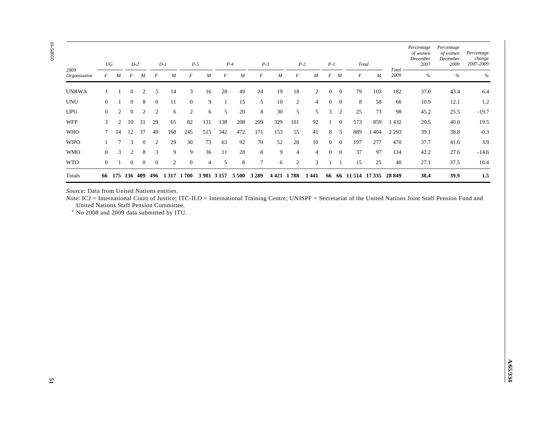|                                                                                                                                                                                                            | $\cal U\cal G$   |                | $D\textrm{-}2$   |                  |                  | $D-1$          | $P-5$          |                | $P-4$        |            | $P-3$          |                                                                 | $P\textrm{-}2$ |                | $P-1$            |                 | Total    |                            |               | of women<br>December<br>2007 | of women<br>December<br>2009 | Percentage<br>change<br>2007-2009 |
|------------------------------------------------------------------------------------------------------------------------------------------------------------------------------------------------------------|------------------|----------------|------------------|------------------|------------------|----------------|----------------|----------------|--------------|------------|----------------|-----------------------------------------------------------------|----------------|----------------|------------------|-----------------|----------|----------------------------|---------------|------------------------------|------------------------------|-----------------------------------|
| 2009<br>Organization                                                                                                                                                                                       | $\cal F$         | $\cal M$       | $F$ $M$          |                  | $\cal F$         | $\cal M$       | $\cal F$       | ${\cal M}$     | $\cal F$     | ${\cal M}$ | $\cal F$       | $\cal M$                                                        | $\cal F$       | $\cal M$       |                  | $F$ $M$         | $\cal F$ | $\cal M$                   | Total<br>2009 | $\%$                         | $\%$                         |                                   |
| <b>UNRWA</b>                                                                                                                                                                                               | $\mathbf{1}$     | $\mathbf{1}$   | $\mathbf{0}$     | 2                | 5                | 14             | 3              | 16             | 28           | 49         | 24             | 19                                                              | 18             | $\overline{2}$ | $\boldsymbol{0}$ | $\overline{0}$  | 79       | 103                        | 182           | 37.0                         | 43.4                         | 6.4                               |
| <b>UNU</b>                                                                                                                                                                                                 | $\mathbf{0}$     | 1              | $\boldsymbol{0}$ | $8\,$            | $\mathbf{0}$     | 11             | $\mathbf{0}$   | $\overline{9}$ | $\mathbf{1}$ | 15         | 5              | $10\,$                                                          | $\sqrt{2}$     | $\overline{4}$ | $\boldsymbol{0}$ | $\overline{0}$  | $\,8\,$  | 58                         | 66            | 10.9                         | 12.1                         | 1.2                               |
| <b>UPU</b>                                                                                                                                                                                                 | $\boldsymbol{0}$ | $\overline{c}$ | $\mathbf{0}$     | $\sqrt{2}$       | 2                | 6              | $\overline{2}$ | 6              | $\sqrt{5}$   | 20         | $\,8\,$        | 30                                                              | 5              | 5              | 3                | <sup>2</sup>    | 25       | 73                         | 98            | 45.2                         | 25.5                         | $-19.7$                           |
| <b>WFP</b>                                                                                                                                                                                                 | 3                | $\overline{2}$ | 10               | 31               | 29               | 65             | 82             | 131            | 138          | 208        | 209            | 329                                                             | 101            | 92             | $\mathbf{1}$     | $\bf{0}$        | 573      | 859                        | 1432          | 20.5                         | 40.0                         | 19.5                              |
| <b>WHO</b>                                                                                                                                                                                                 | $\tau$           | 14             | 12               | 37               | 49               | 168            | 245            | 515            | 342          | 472        | 171            | 153                                                             | 55             | 41             | 8                | $5\overline{)}$ | 889      | 1 4 0 4                    | 2 2 9 3       | 39.1                         | 38.8                         | $-0.3$                            |
| <b>WIPO</b>                                                                                                                                                                                                | $\mathbf{1}$     | $\overline{7}$ | 3                | $\boldsymbol{0}$ | 2                | 29             | 30             | 73             | 63           | 92         | 70             | 52                                                              | 28             | 10             | $\overline{0}$   | $\overline{0}$  | 197      | 277                        | 470           | 37.7                         | 41.6                         | 3.9                               |
| <b>WMO</b>                                                                                                                                                                                                 | $\boldsymbol{0}$ | 3              | $\overline{c}$   | $\,8\,$          | $\mathfrak{Z}$   | $\overline{9}$ | 9              | $36\,$         | 11           | $28\,$     | $8\phantom{1}$ | 9                                                               | $\overline{4}$ | $\overline{4}$ | $\boldsymbol{0}$ | $\overline{0}$  | 37       | 97                         | 134           | 42.2                         | 27.6                         | $-14.6$                           |
| <b>WTO</b>                                                                                                                                                                                                 | $\mathbf{0}$     | $\mathbf{1}$   | $\overline{0}$   | $\boldsymbol{0}$ | $\boldsymbol{0}$ | $\overline{2}$ | $\mathbf{0}$   | $\overline{4}$ | $\sqrt{5}$   | $\,8\,$    | $\tau$         | 6                                                               | 2              | 3              |                  | $1 \quad 1$     | 15       | 25                         | 40            | 27.1                         | 37.5                         | 10.4                              |
| Totals                                                                                                                                                                                                     |                  |                |                  |                  |                  |                |                |                |              |            |                | 66 175 136 409 496 1317 1700 3981 3157 5500 3289 4421 1788 1441 |                |                |                  |                 |          | 66 66 11 514 17 335 28 849 |               | 38.4                         | 39.9                         | $1.5\,$                           |
| United Nations Staff Pension Committee.<br><sup>a</sup> No 2008 and 2009 data submitted by ITU.                                                                                                            |                  |                |                  |                  |                  |                |                |                |              |            |                |                                                                 |                |                |                  |                 |          |                            |               |                              |                              |                                   |
| Source: Data from United Nations entities.<br>Note: ICJ = International Court of Justice; ITC-ILO = International Training Centre; UNJSPF = Secretariat of the United Nations Joint Staff Pension Fund and |                  |                |                  |                  |                  |                |                |                |              |            |                |                                                                 |                |                |                  |                 |          |                            |               |                              |                              |                                   |
|                                                                                                                                                                                                            |                  |                |                  |                  |                  |                |                |                |              |            |                |                                                                 |                |                |                  |                 |          |                            |               |                              |                              |                                   |
|                                                                                                                                                                                                            |                  |                |                  |                  |                  |                |                |                |              |            |                |                                                                 |                |                |                  |                 |          |                            |               |                              |                              |                                   |
|                                                                                                                                                                                                            |                  |                |                  |                  |                  |                |                |                |              |            |                |                                                                 |                |                |                  |                 |          |                            |               |                              |                              |                                   |
|                                                                                                                                                                                                            |                  |                |                  |                  |                  |                |                |                |              |            |                |                                                                 |                |                |                  |                 |          |                            |               |                              |                              |                                   |
|                                                                                                                                                                                                            |                  |                |                  |                  |                  |                |                |                |              |            |                |                                                                 |                |                |                  |                 |          |                            |               |                              |                              |                                   |
|                                                                                                                                                                                                            |                  |                |                  |                  |                  |                |                |                |              |            |                |                                                                 |                |                |                  |                 |          |                            |               |                              |                              |                                   |
|                                                                                                                                                                                                            |                  |                |                  |                  |                  |                |                |                |              |            |                |                                                                 |                |                |                  |                 |          |                            |               |                              |                              |                                   |

**A/65/334**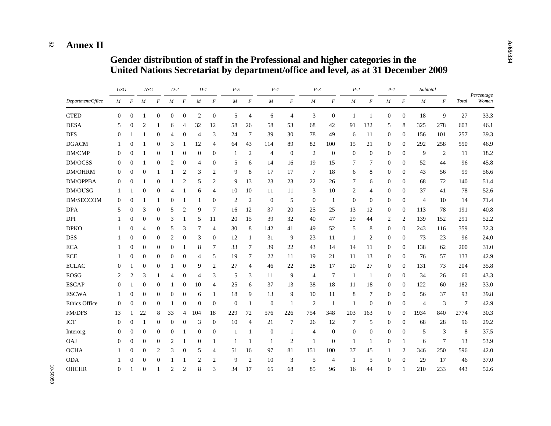#### **52 Annex II**

# **Gender distribution of staff in the Professional and higher categories in the United Nations Secretariat by department/office and level, as at 31 December 2009**

|                   | <b>USG</b>       |                  | $ASG$            |                  | $D-2$                    |                  | $D-1$          |                  | $P-5$          |                  | $P-4$            |                  | $P-3$          |                  | $P-2$            |                  | $P-1$            |                  | Subtotal         |          |                 |                     |
|-------------------|------------------|------------------|------------------|------------------|--------------------------|------------------|----------------|------------------|----------------|------------------|------------------|------------------|----------------|------------------|------------------|------------------|------------------|------------------|------------------|----------|-----------------|---------------------|
| Department/Office | $\boldsymbol{M}$ | $\cal F$         | M                | $\boldsymbol{F}$ | $\boldsymbol{M}$         | $\boldsymbol{F}$ | M              | $\cal F$         | $\cal M$       | $\boldsymbol{F}$ | $\cal M$         | $\boldsymbol{F}$ | $\cal M$       | $\boldsymbol{F}$ | $\cal M$         | $\boldsymbol{F}$ | $\cal M$         | $\boldsymbol{F}$ | $\boldsymbol{M}$ | $\cal F$ | Total           | Percentage<br>Women |
| <b>CTED</b>       | $\Omega$         | $\overline{0}$   | -1               | $\mathbf{0}$     | $\mathbf{0}$             | $\mathbf{0}$     | $\mathfrak{2}$ | $\boldsymbol{0}$ | 5              | $\overline{4}$   | 6                | $\overline{4}$   | 3              | $\mathbf{0}$     | -1               | $\mathbf{1}$     | $\mathbf{0}$     | $\overline{0}$   | 18               | 9        | 27              | 33.3                |
| <b>DESA</b>       | 5                | $\Omega$         | $\overline{c}$   |                  | 6                        | 4                | 32             | 12               | 58             | 26               | 58               | 53               | 68             | 42               | 91               | 132              | 5                | 8                | 325              | 278      | 603             | 46.1                |
| <b>DFS</b>        | $\Omega$         |                  |                  | $\Omega$         | $\overline{\mathcal{A}}$ | $\Omega$         | $\overline{4}$ | 3                | 24             | $\overline{7}$   | 39               | 30               | 78             | 49               | 6                | 11               | $\overline{0}$   | $\Omega$         | 156              | 101      | 257             | 39.3                |
| <b>DGACM</b>      | 1                | 0                | -1               | $\mathbf{0}$     | 3                        | -1               | 12             | $\overline{4}$   | 64             | 43               | 114              | 89               | 82             | 100              | 15               | 21               | $\mathbf{0}$     | $\Omega$         | 292              | 258      | 550             | 46.9                |
| DM/CMP            | $\overline{0}$   | $\Omega$         | 1                | $\mathbf{0}$     | 1                        | $\mathbf{0}$     | $\mathbf{0}$   | $\boldsymbol{0}$ | -1             | $\overline{2}$   | $\overline{4}$   | $\theta$         | $\overline{2}$ | $\mathbf{0}$     | $\mathbf{0}$     | $\boldsymbol{0}$ | $\boldsymbol{0}$ | $\mathbf{0}$     | 9                | 2        | 11              | 18.2                |
| DM/OCSS           | $\theta$         | $\overline{0}$   | 1                | $\boldsymbol{0}$ | 2                        | $\mathbf{0}$     | 4              | $\boldsymbol{0}$ | 5              | 6                | 14               | 16               | 19             | 15               | 7                | 7                | $\mathbf{0}$     | $\mathbf{0}$     | 52               | 44       | 96              | 45.8                |
| <b>DM/OHRM</b>    | $\theta$         | $\Omega$         | $\theta$         | -1               | -1                       | 2                | 3              | $\overline{c}$   | 9              | 8                | 17               | 17               | 7              | 18               | 6                | 8                | $\mathbf{0}$     | $\Omega$         | 43               | 56       | 99              | 56.6                |
| <b>DM/OPPBA</b>   | $\Omega$         | $\theta$         |                  | $\Omega$         | -1                       | $\overline{2}$   | 5              | $\overline{c}$   | 9              | 13               | 23               | 23               | 22             | 26               | $\tau$           | 6                | $\mathbf{0}$     | $\Omega$         | 68               | 72       | 140             | 51.4                |
| DM/OUSG           | -1               | 1                | $\boldsymbol{0}$ | $\mathbf{0}$     | 4                        | $\mathbf{1}$     | 6              | $\overline{4}$   | 10             | 10               | 11               | 11               | 3              | 10               | $\overline{2}$   | $\overline{4}$   | $\mathbf{0}$     | $\mathbf{0}$     | 37               | 41       | 78              | 52.6                |
| <b>DM/SECCOM</b>  | $\theta$         | $\boldsymbol{0}$ | 1                | 1                | $\theta$                 |                  | 1              | $\boldsymbol{0}$ | $\overline{2}$ | $\overline{2}$   | $\boldsymbol{0}$ | 5                | $\overline{0}$ | -1               | $\boldsymbol{0}$ | $\mathbf{0}$     | $\boldsymbol{0}$ | $\mathbf{0}$     | $\overline{4}$   | 10       | 14              | 71.4                |
| <b>DPA</b>        | 5                | $\mathbf{0}$     | 3                | $\mathbf{0}$     | 5                        | 2                | 9              | 7                | 16             | 12               | 37               | 20               | 25             | 25               | 13               | 12               | $\mathbf{0}$     | $\mathbf{0}$     | 113              | 78       | 191             | 40.8                |
| <b>DPI</b>        |                  | $\overline{0}$   | $\mathbf{0}$     | $\theta$         | 3                        |                  | 5              | 11               | 20             | 15               | 39               | 32               | 40             | 47               | 29               | 44               | $\overline{2}$   | 2                | 139              | 152      | 291             | 52.2                |
| <b>DPKO</b>       |                  | $\theta$         | $\overline{4}$   | $\mathbf{0}$     | 5                        | 3                | 7              | $\overline{4}$   | 30             | 8                | 142              | 41               | 49             | 52               | 5                | 8                | $\mathbf{0}$     | $\Omega$         | 243              | 116      | 359             | 32.3                |
| <b>DSS</b>        | 1                | 0                | $\mathbf{0}$     | $\boldsymbol{0}$ | $\overline{c}$           | $\boldsymbol{0}$ | 3              | $\overline{0}$   | 12             | $\mathbf{1}$     | 31               | 9                | 23             | 11               | -1               | 2                | $\mathbf{0}$     | $\mathbf{0}$     | 73               | 23       | 96              | 24.0                |
| <b>ECA</b>        |                  | $\boldsymbol{0}$ | $\boldsymbol{0}$ | $\boldsymbol{0}$ | $\mathbf{0}$             | $\mathbf{1}$     | 8              | 7                | 33             | 7                | 39               | 22               | 43             | 14               | 14               | 11               | $\boldsymbol{0}$ | $\mathbf{0}$     | 138              | 62       | 200             | 31.0                |
| <b>ECE</b>        | 1                | $\theta$         | $\mathbf{0}$     | $\mathbf{0}$     | $\mathbf{0}$             | $\mathbf{0}$     | 4              | 5                | 19             | $\tau$           | 22               | 11               | 19             | 21               | 11               | 13               | $\mathbf{0}$     | $\mathbf{0}$     | 76               | 57       | 133             | 42.9                |
| <b>ECLAC</b>      | $\theta$         | $\mathbf{1}$     | $\mathbf{0}$     | $\theta$         | $\mathbf{1}$             | $\mathbf{0}$     | 9              | $\overline{c}$   | 27             | $\overline{4}$   | 46               | 22               | 28             | 17               | 20               | 27               | $\mathbf{0}$     | $\Omega$         | 131              | 73       | 204             | 35.8                |
| <b>EOSG</b>       | 2                | $\overline{c}$   | 3                | 1                | 4                        | $\mathbf{0}$     | $\overline{4}$ | 3                | 5              | 3                | 11               | 9                | $\overline{4}$ | $\overline{7}$   | $\mathbf{1}$     | 1                | $\overline{0}$   | $\Omega$         | 34               | 26       | 60              | 43.3                |
| <b>ESCAP</b>      | $\overline{0}$   |                  | $\boldsymbol{0}$ | $\boldsymbol{0}$ | -1                       | $\mathbf{0}$     | 10             | 4                | 25             | 6                | 37               | 13               | 38             | 18               | 11               | 18               | $\boldsymbol{0}$ | $\overline{0}$   | 122              | 60       | 182             | 33.0                |
| <b>ESCWA</b>      |                  | $\theta$         | $\mathbf{0}$     | $\mathbf{0}$     | $\theta$                 | $\mathbf{0}$     | 6              | $\mathbf{1}$     | 18             | 9                | 13               | 9                | 10             | 11               | 8                | 7                | $\boldsymbol{0}$ | $\Omega$         | 56               | 37       | 93              | 39.8                |
| Ethics Office     | $\Omega$         | $\Omega$         | $\theta$         | $\mathbf{0}$     | $\mathbf{1}$             | $\overline{0}$   | $\Omega$       | $\overline{0}$   | $\Omega$       | $\mathbf{1}$     | $\mathbf{0}$     | 1                | $\overline{2}$ | $\overline{1}$   | $\mathbf{1}$     | $\overline{0}$   | $\mathbf{0}$     | $\mathbf{0}$     | $\overline{4}$   | 3        | $7\phantom{.0}$ | 42.9                |
| FM/DFS            | 13               | 1                | 22               | 8                | 33                       | 4                | 104            | 18               | 229            | 72               | 576              | 226              | 754            | 348              | 203              | 163              | $\mathbf{0}$     | $\Omega$         | 1934             | 840      | 2774            | 30.3                |
| <b>ICT</b>        | $\overline{0}$   | $\Omega$         | 1                | $\mathbf{0}$     | $\Omega$                 | $\theta$         | 3              | $\mathbf{0}$     | 10             | $\overline{4}$   | 21               | 7                | 26             | 12               | 7                | 5                | $\mathbf{0}$     | $\mathbf{0}$     | 68               | 28       | 96              | 29.2                |
| Interorg.         | $\overline{0}$   | $\overline{0}$   | $\theta$         | $\theta$         | $\mathbf{0}$             |                  | $\mathbf{0}$   | $\mathbf{0}$     | $\overline{1}$ | $\mathbf{1}$     | $\mathbf{0}$     | 1                | $\overline{4}$ | $\mathbf{0}$     | $\theta$         | $\mathbf{0}$     | $\mathbf{0}$     | $\theta$         | 5                | 3        | 8               | 37.5                |
| <b>OAJ</b>        | $\overline{0}$   | $\Omega$         | $\theta$         | $\mathbf{0}$     | $\overline{2}$           |                  | $\theta$       | 1                | -1             | $\mathbf{1}$     | 1                | $\overline{2}$   | $\mathbf{1}$   | $\mathbf{0}$     | -1               | 1                | $\mathbf{0}$     | $\mathbf{1}$     | 6                | 7        | 13              | 53.9                |
| <b>OCHA</b>       |                  | $\Omega$         | $\mathbf{0}$     | 2                | 3                        | $\mathbf{0}$     | 5              | 4                | 51             | 16               | 97               | 81               | 151            | 100              | 37               | 45               | 1                | $\overline{c}$   | 346              | 250      | 596             | 42.0                |
| <b>ODA</b>        | -1               | $\Omega$         | $\theta$         | $\theta$         | -1                       | -1               | $\overline{c}$ | 2                | 9              | 2                | 10               | 3                | 5              | $\overline{4}$   | 1                | 5                | $\mathbf{0}$     | $\mathbf{0}$     | 29               | 17       | 46              | 37.0                |
| <b>OHCHR</b>      | $\overline{0}$   |                  | $\mathbf{0}$     |                  | 2                        | $\mathfrak{2}$   | 8              | 3                | 34             | 17               | 65               | 68               | 85             | 96               | 16               | 44               | $\mathbf{0}$     |                  | 210              | 233      | 443             | 52.6                |